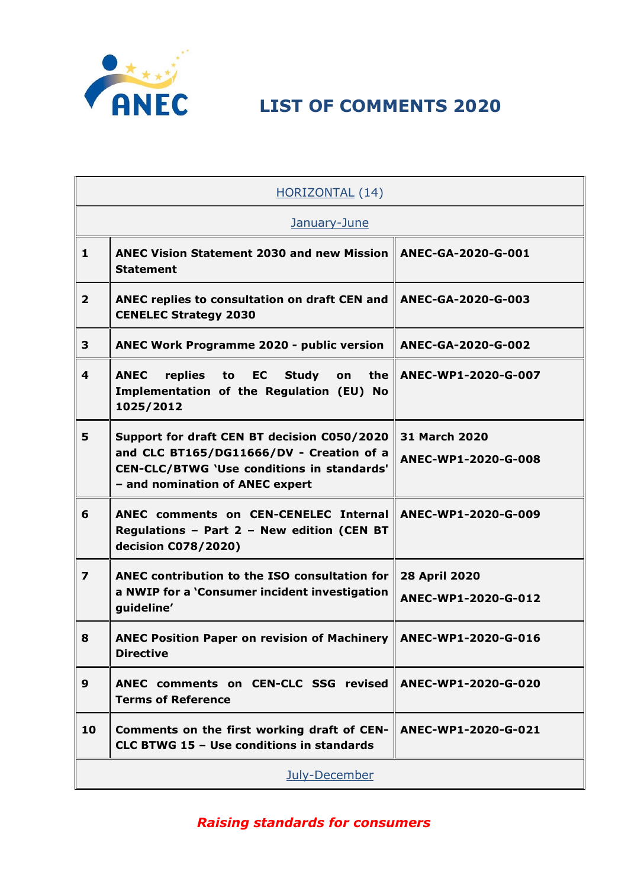

## **LIST OF COMMENTS 2020**

| <b>HORIZONTAL (14)</b>  |                                                                                                                                                                                 |                                             |
|-------------------------|---------------------------------------------------------------------------------------------------------------------------------------------------------------------------------|---------------------------------------------|
| January-June            |                                                                                                                                                                                 |                                             |
| $\mathbf{1}$            | <b>ANEC Vision Statement 2030 and new Mission</b><br><b>Statement</b>                                                                                                           | ANEC-GA-2020-G-001                          |
| $\overline{2}$          | ANEC replies to consultation on draft CEN and<br><b>CENELEC Strategy 2030</b>                                                                                                   | ANEC-GA-2020-G-003                          |
| 3                       | <b>ANEC Work Programme 2020 - public version</b>                                                                                                                                | ANEC-GA-2020-G-002                          |
| 4                       | <b>ANEC</b><br>replies to<br><b>EC</b><br><b>Study</b><br>the  <br>on<br>Implementation of the Regulation (EU) No<br>1025/2012                                                  | ANEC-WP1-2020-G-007                         |
| 5                       | Support for draft CEN BT decision C050/2020<br>and CLC BT165/DG11666/DV - Creation of a<br><b>CEN-CLC/BTWG 'Use conditions in standards'</b><br>- and nomination of ANEC expert | <b>31 March 2020</b><br>ANEC-WP1-2020-G-008 |
| 6                       | ANEC comments on CEN-CENELEC Internal<br>Regulations - Part 2 - New edition (CEN BT<br>decision C078/2020)                                                                      | ANEC-WP1-2020-G-009                         |
| $\overline{\mathbf{z}}$ | ANEC contribution to the ISO consultation for<br>a NWIP for a 'Consumer incident investigation<br>guideline'                                                                    | 28 April 2020<br>ANEC-WP1-2020-G-012        |
| 8                       | <b>ANEC Position Paper on revision of Machinery  </b><br><b>Directive</b>                                                                                                       | ANEC-WP1-2020-G-016                         |
| 9                       | ANEC comments on CEN-CLC SSG revised<br><b>Terms of Reference</b>                                                                                                               | ANEC-WP1-2020-G-020                         |
| 10                      | Comments on the first working draft of CEN-<br>CLC BTWG 15 - Use conditions in standards                                                                                        | ANEC-WP1-2020-G-021                         |
| July-December           |                                                                                                                                                                                 |                                             |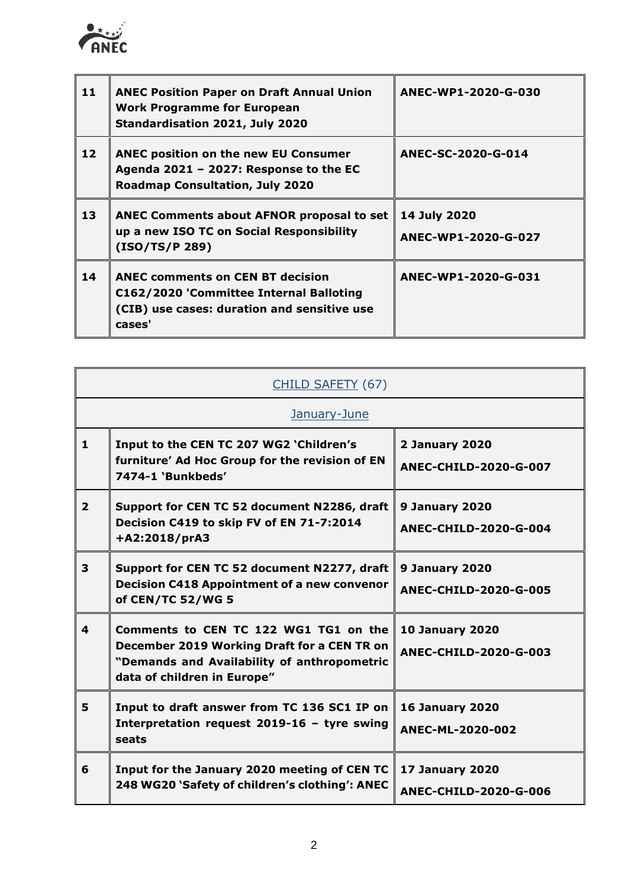

ř.

| 11 | <b>ANEC Position Paper on Draft Annual Union</b><br><b>Work Programme for European</b><br>Standardisation 2021, July 2020                   | ANEC-WP1-2020-G-030                 |
|----|---------------------------------------------------------------------------------------------------------------------------------------------|-------------------------------------|
| 12 | <b>ANEC position on the new EU Consumer</b><br>Agenda 2021 - 2027: Response to the EC<br><b>Roadmap Consultation, July 2020</b>             | ANEC-SC-2020-G-014                  |
| 13 | <b>ANEC Comments about AFNOR proposal to set</b><br>up a new ISO TC on Social Responsibility<br>(ISO/TS/P 289)                              | 14 July 2020<br>ANEC-WP1-2020-G-027 |
| 14 | <b>ANEC comments on CEN BT decision</b><br>C162/2020 'Committee Internal Balloting<br>(CIB) use cases: duration and sensitive use<br>cases' | ANEC-WP1-2020-G-031                 |

 $\blacksquare$ 

| CHILD SAFETY (67)       |                                                                                                                                                                    |                                                        |  |
|-------------------------|--------------------------------------------------------------------------------------------------------------------------------------------------------------------|--------------------------------------------------------|--|
|                         | January-June                                                                                                                                                       |                                                        |  |
| $\mathbf{1}$            | Input to the CEN TC 207 WG2 'Children's<br>furniture' Ad Hoc Group for the revision of EN<br>7474-1 'Bunkbeds'                                                     | 2 January 2020<br><b>ANEC-CHILD-2020-G-007</b>         |  |
| $\overline{2}$          | Support for CEN TC 52 document N2286, draft<br>Decision C419 to skip FV of EN 71-7:2014<br>+A2:2018/prA3                                                           | 9 January 2020<br><b>ANEC-CHILD-2020-G-004</b>         |  |
| 3                       | Support for CEN TC 52 document N2277, draft<br><b>Decision C418 Appointment of a new convenor</b><br>of CEN/TC 52/WG 5                                             | 9 January 2020<br><b>ANEC-CHILD-2020-G-005</b>         |  |
| $\overline{\mathbf{4}}$ | Comments to CEN TC 122 WG1 TG1 on the<br>December 2019 Working Draft for a CEN TR on<br>"Demands and Availability of anthropometric<br>data of children in Europe" | <b>10 January 2020</b><br><b>ANEC-CHILD-2020-G-003</b> |  |
| 5                       | Input to draft answer from TC 136 SC1 IP on<br>Interpretation request 2019-16 - tyre swing<br>seats                                                                | <b>16 January 2020</b><br>ANEC-ML-2020-002             |  |
| 6                       | Input for the January 2020 meeting of CEN TC<br>248 WG20 'Safety of children's clothing': ANEC                                                                     | 17 January 2020<br><b>ANEC-CHILD-2020-G-006</b>        |  |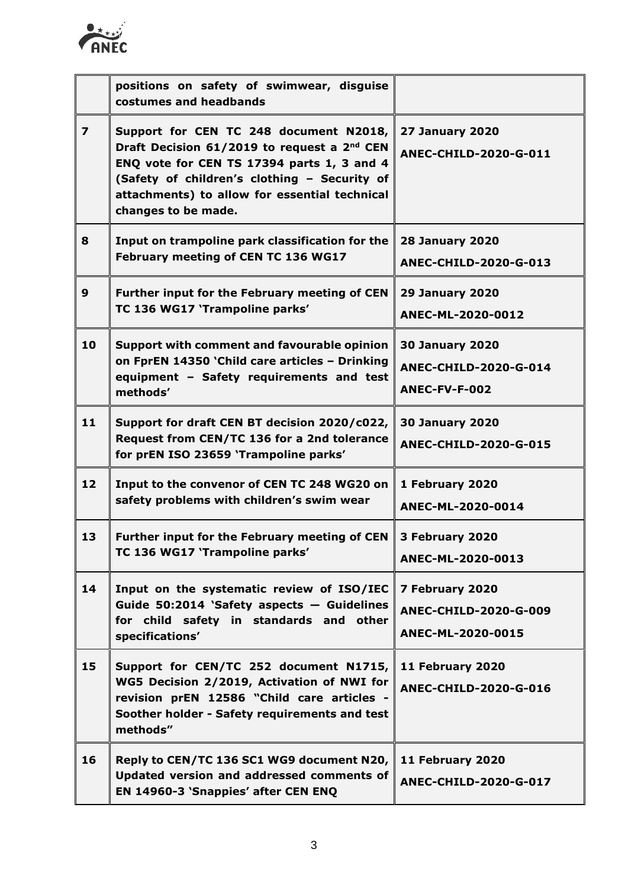

|                | positions on safety of swimwear, disguise<br>costumes and headbands                                                                                                                                                                                                     |                                                                         |
|----------------|-------------------------------------------------------------------------------------------------------------------------------------------------------------------------------------------------------------------------------------------------------------------------|-------------------------------------------------------------------------|
| $\overline{z}$ | Support for CEN TC 248 document N2018,<br>Draft Decision 61/2019 to request a 2 <sup>nd</sup> CEN<br>ENQ vote for CEN TS 17394 parts 1, 3 and 4<br>(Safety of children's clothing - Security of<br>attachments) to allow for essential technical<br>changes to be made. | <b>27 January 2020</b><br><b>ANEC-CHILD-2020-G-011</b>                  |
| 8              | Input on trampoline park classification for the<br>February meeting of CEN TC 136 WG17                                                                                                                                                                                  | <b>28 January 2020</b><br><b>ANEC-CHILD-2020-G-013</b>                  |
| 9              | Further input for the February meeting of CEN<br>TC 136 WG17 'Trampoline parks'                                                                                                                                                                                         | <b>29 January 2020</b><br>ANEC-ML-2020-0012                             |
| 10             | Support with comment and favourable opinion<br>on FprEN 14350 'Child care articles - Drinking<br>equipment - Safety requirements and test<br>methods'                                                                                                                   | <b>30 January 2020</b><br><b>ANEC-CHILD-2020-G-014</b><br>ANEC-FV-F-002 |
| 11             | Support for draft CEN BT decision 2020/c022,<br>Request from CEN/TC 136 for a 2nd tolerance<br>for prEN ISO 23659 'Trampoline parks'                                                                                                                                    | <b>30 January 2020</b><br><b>ANEC-CHILD-2020-G-015</b>                  |
| 12             | Input to the convenor of CEN TC 248 WG20 on<br>safety problems with children's swim wear                                                                                                                                                                                | 1 February 2020<br>ANEC-ML-2020-0014                                    |
| 13             | Further input for the February meeting of CEN<br>TC 136 WG17 'Trampoline parks'                                                                                                                                                                                         | 3 February 2020<br>ANEC-ML-2020-0013                                    |
| 14             | Input on the systematic review of ISO/IEC<br>Guide 50:2014 'Safety aspects - Guidelines<br>for child safety in standards and other<br>specifications'                                                                                                                   | 7 February 2020<br><b>ANEC-CHILD-2020-G-009</b><br>ANEC-ML-2020-0015    |
| 15             | Support for CEN/TC 252 document N1715,<br>WG5 Decision 2/2019, Activation of NWI for<br>revision prEN 12586 "Child care articles -<br>Soother holder - Safety requirements and test<br>methods"                                                                         | 11 February 2020<br>ANEC-CHILD-2020-G-016                               |
| 16             | Reply to CEN/TC 136 SC1 WG9 document N20,<br>Updated version and addressed comments of<br>EN 14960-3 'Snappies' after CEN ENQ                                                                                                                                           | 11 February 2020<br>ANEC-CHILD-2020-G-017                               |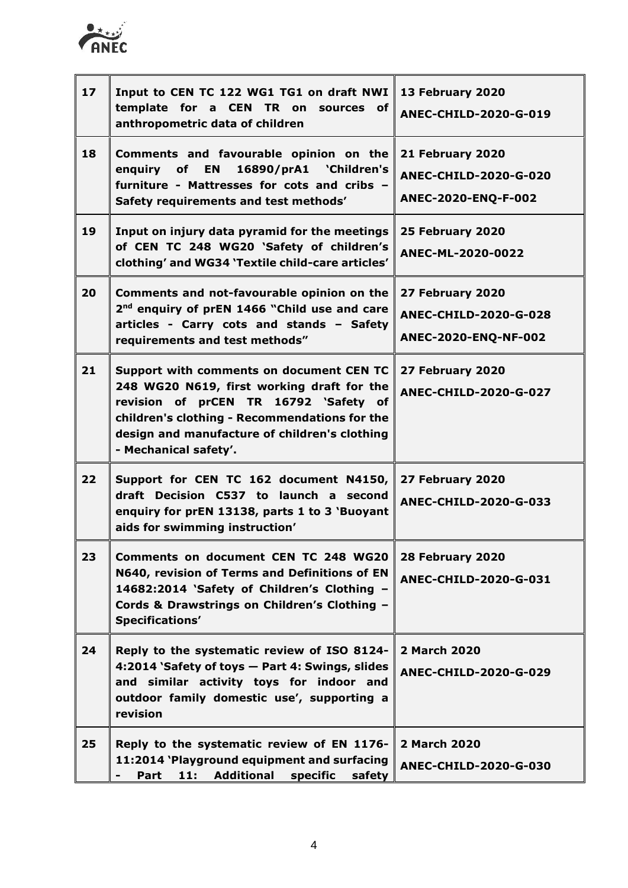

| 17 | Input to CEN TC 122 WG1 TG1 on draft NWI<br>template for a CEN TR on sources of<br>anthropometric data of children                                                                                                                                         | 13 February 2020<br><b>ANEC-CHILD-2020-G-019</b>                        |
|----|------------------------------------------------------------------------------------------------------------------------------------------------------------------------------------------------------------------------------------------------------------|-------------------------------------------------------------------------|
| 18 | Comments and favourable opinion on the<br>16890/prA1 'Children's<br>enquiry of<br><b>EN</b><br>furniture - Mattresses for cots and cribs -<br>Safety requirements and test methods'                                                                        | 21 February 2020<br><b>ANEC-CHILD-2020-G-020</b><br>ANEC-2020-ENQ-F-002 |
| 19 | Input on injury data pyramid for the meetings<br>of CEN TC 248 WG20 'Safety of children's<br>clothing' and WG34 'Textile child-care articles'                                                                                                              | 25 February 2020<br>ANEC-ML-2020-0022                                   |
| 20 | Comments and not-favourable opinion on the<br>2 <sup>nd</sup> enquiry of prEN 1466 "Child use and care<br>articles - Carry cots and stands - Safety<br>requirements and test methods"                                                                      | 27 February 2020<br>ANEC-CHILD-2020-G-028<br>ANEC-2020-ENQ-NF-002       |
| 21 | Support with comments on document CEN TC<br>248 WG20 N619, first working draft for the<br>revision of prCEN TR 16792 'Safety of<br>children's clothing - Recommendations for the<br>design and manufacture of children's clothing<br>- Mechanical safety'. | 27 February 2020<br><b>ANEC-CHILD-2020-G-027</b>                        |
| 22 | Support for CEN TC 162 document N4150,<br>draft Decision C537 to launch a second<br>enquiry for prEN 13138, parts 1 to 3 'Buoyant<br>aids for swimming instruction'                                                                                        | 27 February 2020<br><b>ANEC-CHILD-2020-G-033</b>                        |
| 23 | Comments on document CEN TC 248 WG20<br>N640, revision of Terms and Definitions of EN<br>14682:2014 'Safety of Children's Clothing -<br>Cords & Drawstrings on Children's Clothing -<br>Specifications'                                                    | 28 February 2020<br><b>ANEC-CHILD-2020-G-031</b>                        |
| 24 | Reply to the systematic review of ISO 8124-<br>4:2014 'Safety of toys - Part 4: Swings, slides<br>and similar activity toys for indoor and<br>outdoor family domestic use', supporting a<br>revision                                                       | 2 March 2020<br><b>ANEC-CHILD-2020-G-029</b>                            |
| 25 | Reply to the systematic review of EN 1176-<br>11:2014 'Playground equipment and surfacing<br><b>Additional</b><br>11:<br>specific<br>Part<br>safety                                                                                                        | 2 March 2020<br><b>ANEC-CHILD-2020-G-030</b>                            |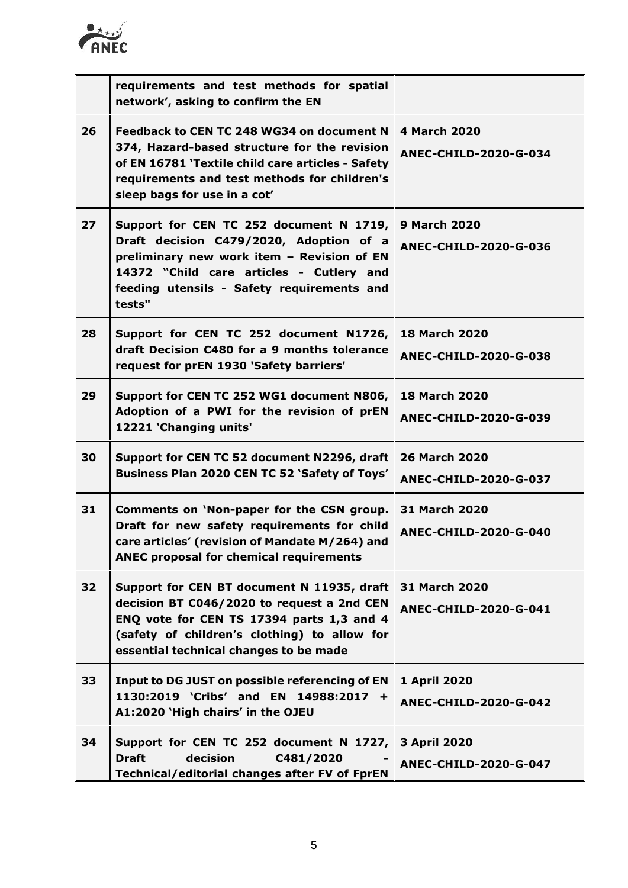

|    | requirements and test methods for spatial<br>network', asking to confirm the EN                                                                                                                                                      |                                                      |
|----|--------------------------------------------------------------------------------------------------------------------------------------------------------------------------------------------------------------------------------------|------------------------------------------------------|
| 26 | Feedback to CEN TC 248 WG34 on document N<br>374, Hazard-based structure for the revision<br>of EN 16781 'Textile child care articles - Safety<br>requirements and test methods for children's<br>sleep bags for use in a cot'       | <b>4 March 2020</b><br><b>ANEC-CHILD-2020-G-034</b>  |
| 27 | Support for CEN TC 252 document N 1719,<br>Draft decision C479/2020, Adoption of a<br>preliminary new work item - Revision of EN<br>14372 "Child care articles - Cutlery and<br>feeding utensils - Safety requirements and<br>tests" | <b>9 March 2020</b><br><b>ANEC-CHILD-2020-G-036</b>  |
| 28 | Support for CEN TC 252 document N1726,<br>draft Decision C480 for a 9 months tolerance<br>request for prEN 1930 'Safety barriers'                                                                                                    | <b>18 March 2020</b><br><b>ANEC-CHILD-2020-G-038</b> |
| 29 | Support for CEN TC 252 WG1 document N806,<br>Adoption of a PWI for the revision of prEN<br>12221 'Changing units'                                                                                                                    | <b>18 March 2020</b><br><b>ANEC-CHILD-2020-G-039</b> |
| 30 | Support for CEN TC 52 document N2296, draft<br>Business Plan 2020 CEN TC 52 'Safety of Toys'                                                                                                                                         | <b>26 March 2020</b><br>ANEC-CHILD-2020-G-037        |
| 31 | Comments on 'Non-paper for the CSN group.<br>Draft for new safety requirements for child<br>care articles' (revision of Mandate M/264) and<br><b>ANEC proposal for chemical requirements</b>                                         | 31 March 2020<br><b>ANEC-CHILD-2020-G-040</b>        |
| 32 | Support for CEN BT document N 11935, draft<br>decision BT C046/2020 to request a 2nd CEN<br>ENQ vote for CEN TS 17394 parts 1,3 and 4<br>(safety of children's clothing) to allow for<br>essential technical changes to be made      | 31 March 2020<br><b>ANEC-CHILD-2020-G-041</b>        |
| 33 | Input to DG JUST on possible referencing of EN<br>1130:2019 'Cribs' and EN 14988:2017 +<br>A1:2020 'High chairs' in the OJEU                                                                                                         | 1 April 2020<br><b>ANEC-CHILD-2020-G-042</b>         |
| 34 | Support for CEN TC 252 document N 1727,<br><b>Draft</b><br>decision<br>C481/2020<br>Technical/editorial changes after FV of FprEN                                                                                                    | 3 April 2020<br><b>ANEC-CHILD-2020-G-047</b>         |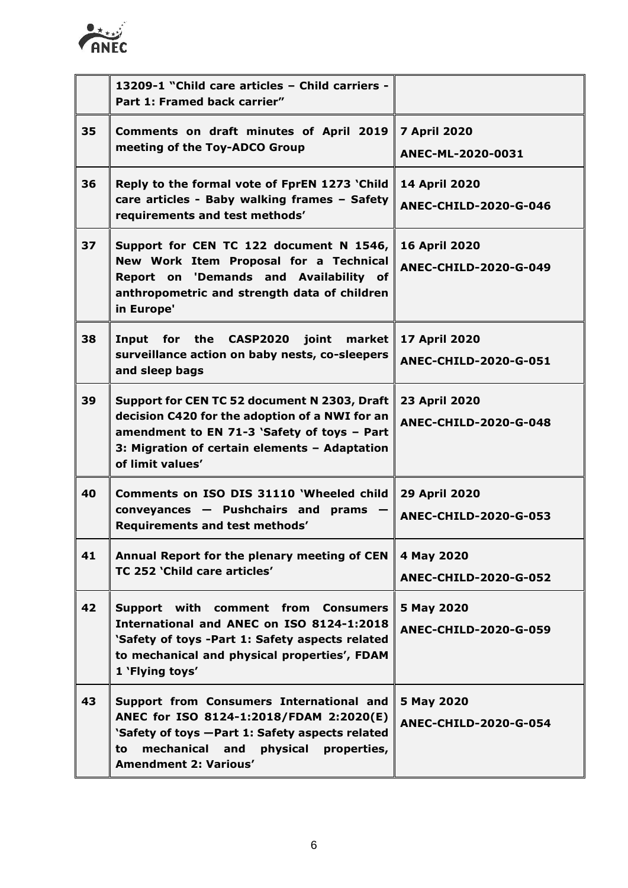

|    | 13209-1 "Child care articles - Child carriers -<br>Part 1: Framed back carrier"                                                                                                                                         |                                                      |
|----|-------------------------------------------------------------------------------------------------------------------------------------------------------------------------------------------------------------------------|------------------------------------------------------|
| 35 | Comments on draft minutes of April 2019<br>meeting of the Toy-ADCO Group                                                                                                                                                | <b>7 April 2020</b><br>ANEC-ML-2020-0031             |
| 36 | Reply to the formal vote of FprEN 1273 'Child<br>care articles - Baby walking frames - Safety<br>requirements and test methods'                                                                                         | <b>14 April 2020</b><br><b>ANEC-CHILD-2020-G-046</b> |
| 37 | Support for CEN TC 122 document N 1546,<br>New Work Item Proposal for a Technical<br>Report on 'Demands and Availability of<br>anthropometric and strength data of children<br>in Europe'                               | <b>16 April 2020</b><br><b>ANEC-CHILD-2020-G-049</b> |
| 38 | for the CASP2020 joint<br>market<br>Input<br>surveillance action on baby nests, co-sleepers<br>and sleep bags                                                                                                           | 17 April 2020<br><b>ANEC-CHILD-2020-G-051</b>        |
| 39 | Support for CEN TC 52 document N 2303, Draft<br>decision C420 for the adoption of a NWI for an<br>amendment to EN 71-3 'Safety of toys - Part<br>3: Migration of certain elements - Adaptation<br>of limit values'      | 23 April 2020<br><b>ANEC-CHILD-2020-G-048</b>        |
| 40 | Comments on ISO DIS 31110 'Wheeled child<br>conveyances - Pushchairs and<br>prams<br>Requirements and test methods'                                                                                                     | 29 April 2020<br><b>ANEC-CHILD-2020-G-053</b>        |
| 41 | Annual Report for the plenary meeting of CEN<br>TC 252 'Child care articles'                                                                                                                                            | 4 May 2020<br><b>ANEC-CHILD-2020-G-052</b>           |
| 42 | Support with comment from Consumers<br>International and ANEC on ISO 8124-1:2018<br>'Safety of toys -Part 1: Safety aspects related<br>to mechanical and physical properties', FDAM<br>1 'Flying toys'                  | 5 May 2020<br><b>ANEC-CHILD-2020-G-059</b>           |
| 43 | Support from Consumers International and<br>ANEC for ISO 8124-1:2018/FDAM 2:2020(E)<br>'Safety of toys - Part 1: Safety aspects related<br>mechanical and<br>physical properties,<br>to<br><b>Amendment 2: Various'</b> | 5 May 2020<br><b>ANEC-CHILD-2020-G-054</b>           |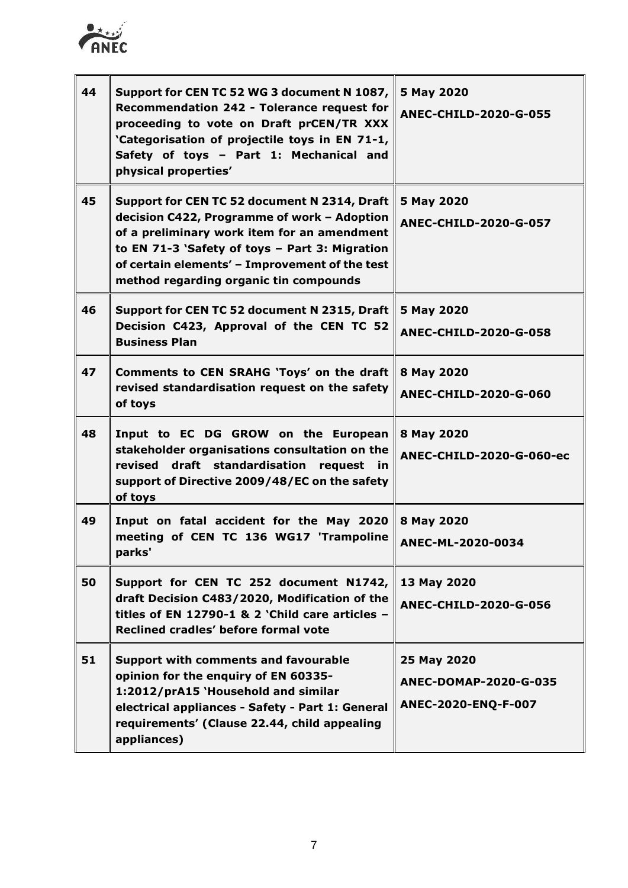

| 44 | Support for CEN TC 52 WG 3 document N 1087,<br>Recommendation 242 - Tolerance request for<br>proceeding to vote on Draft prCEN/TR XXX<br>'Categorisation of projectile toys in EN 71-1,<br>Safety of toys - Part 1: Mechanical and<br>physical properties'                               | 5 May 2020<br><b>ANEC-CHILD-2020-G-055</b>                  |
|----|------------------------------------------------------------------------------------------------------------------------------------------------------------------------------------------------------------------------------------------------------------------------------------------|-------------------------------------------------------------|
| 45 | Support for CEN TC 52 document N 2314, Draft<br>decision C422, Programme of work - Adoption<br>of a preliminary work item for an amendment<br>to EN 71-3 'Safety of toys - Part 3: Migration<br>of certain elements' - Improvement of the test<br>method regarding organic tin compounds | 5 May 2020<br><b>ANEC-CHILD-2020-G-057</b>                  |
| 46 | Support for CEN TC 52 document N 2315, Draft<br>Decision C423, Approval of the CEN TC 52<br><b>Business Plan</b>                                                                                                                                                                         | 5 May 2020<br><b>ANEC-CHILD-2020-G-058</b>                  |
| 47 | Comments to CEN SRAHG 'Toys' on the draft<br>revised standardisation request on the safety<br>of toys                                                                                                                                                                                    | 8 May 2020<br><b>ANEC-CHILD-2020-G-060</b>                  |
| 48 | Input to EC DG GROW on the European<br>stakeholder organisations consultation on the<br>revised draft standardisation request in<br>support of Directive 2009/48/EC on the safety<br>of toys                                                                                             | 8 May 2020<br>ANEC-CHILD-2020-G-060-ec                      |
| 49 | Input on fatal accident for the May 2020<br>meeting of CEN TC 136 WG17 'Trampoline<br>parks'                                                                                                                                                                                             | 8 May 2020<br>ANEC-ML-2020-0034                             |
| 50 | Support for CEN TC 252 document N1742,<br>draft Decision C483/2020, Modification of the<br>titles of EN 12790-1 & 2 'Child care articles $-$<br>Reclined cradles' before formal vote                                                                                                     | 13 May 2020<br><b>ANEC-CHILD-2020-G-056</b>                 |
| 51 | <b>Support with comments and favourable</b><br>opinion for the enquiry of EN 60335-<br>1:2012/prA15 'Household and similar<br>electrical appliances - Safety - Part 1: General<br>requirements' (Clause 22.44, child appealing<br>appliances)                                            | 25 May 2020<br>ANEC-DOMAP-2020-G-035<br>ANEC-2020-ENQ-F-007 |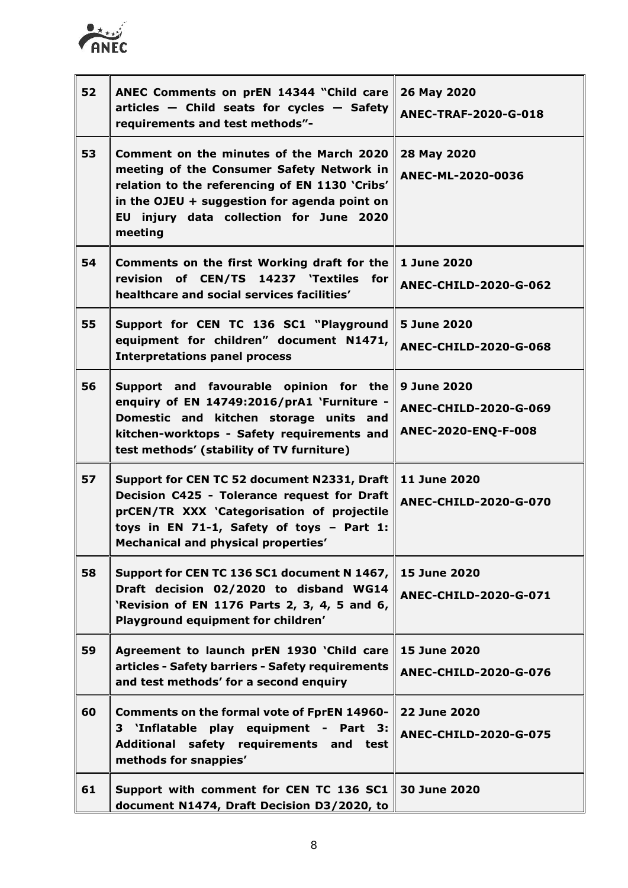

| 52 | ANEC Comments on prEN 14344 "Child care<br>$articles - Child seats for cycles - Safety$<br>requirements and test methods"-                                                                                                                    | 26 May 2020<br>ANEC-TRAF-2020-G-018                                       |
|----|-----------------------------------------------------------------------------------------------------------------------------------------------------------------------------------------------------------------------------------------------|---------------------------------------------------------------------------|
| 53 | Comment on the minutes of the March 2020<br>meeting of the Consumer Safety Network in<br>relation to the referencing of EN 1130 'Cribs'<br>in the OJEU + suggestion for agenda point on<br>EU injury data collection for June 2020<br>meeting | 28 May 2020<br>ANEC-ML-2020-0036                                          |
| 54 | Comments on the first Working draft for the<br>revision of CEN/TS 14237 'Textiles<br>for<br>healthcare and social services facilities'                                                                                                        | 1 June 2020<br><b>ANEC-CHILD-2020-G-062</b>                               |
| 55 | Support for CEN TC 136 SC1 "Playground<br>equipment for children" document N1471,<br><b>Interpretations panel process</b>                                                                                                                     | 5 June 2020<br><b>ANEC-CHILD-2020-G-068</b>                               |
| 56 | Support and favourable opinion for the<br>enquiry of EN 14749:2016/prA1 `Furniture -<br>Domestic and kitchen storage units and<br>kitchen-worktops - Safety requirements and<br>test methods' (stability of TV furniture)                     | <b>9 June 2020</b><br><b>ANEC-CHILD-2020-G-069</b><br>ANEC-2020-ENQ-F-008 |
| 57 | Support for CEN TC 52 document N2331, Draft<br>Decision C425 - Tolerance request for Draft<br>prCEN/TR XXX 'Categorisation of projectile<br>toys in EN 71-1, Safety of toys - Part 1:<br>Mechanical and physical properties'                  | 11 June 2020<br><b>ANEC-CHILD-2020-G-070</b>                              |
| 58 | Support for CEN TC 136 SC1 document N 1467,<br>Draft decision 02/2020 to disband WG14<br>'Revision of EN 1176 Parts 2, 3, 4, 5 and 6,<br>Playground equipment for children'                                                                   | 15 June 2020<br>ANEC-CHILD-2020-G-071                                     |
| 59 | Agreement to launch prEN 1930 'Child care<br>articles - Safety barriers - Safety requirements<br>and test methods' for a second enquiry                                                                                                       | 15 June 2020<br><b>ANEC-CHILD-2020-G-076</b>                              |
| 60 | <b>Comments on the formal vote of FprEN 14960-</b><br>'Inflatable play equipment -<br>Part 3:<br>3<br>Additional safety requirements and test<br>methods for snappies'                                                                        | <b>22 June 2020</b><br><b>ANEC-CHILD-2020-G-075</b>                       |
| 61 | Support with comment for CEN TC 136 SC1<br>document N1474, Draft Decision D3/2020, to                                                                                                                                                         | 30 June 2020                                                              |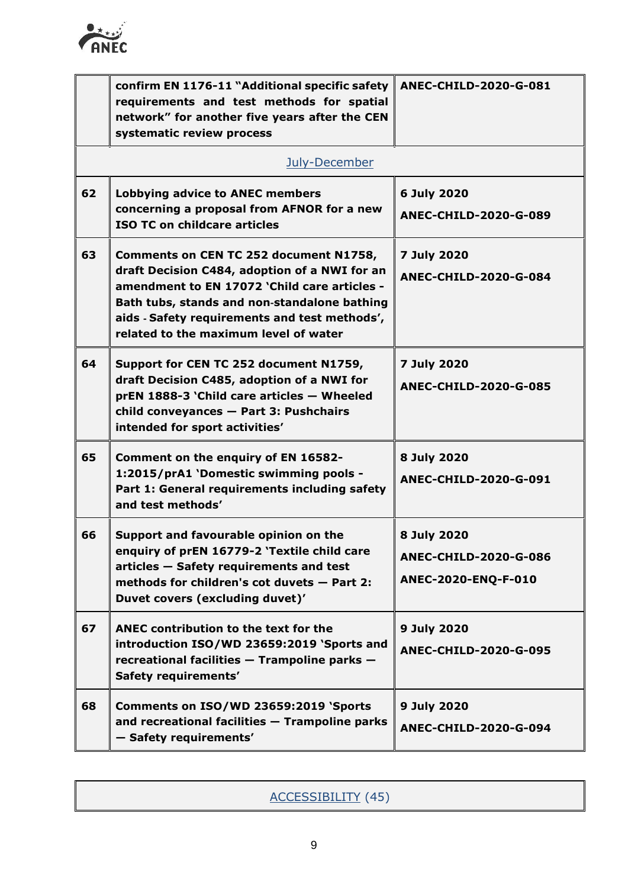

|    | confirm EN 1176-11 "Additional specific safety<br>requirements and test methods for spatial<br>network" for another five years after the CEN<br>systematic review process                                                                                                         | <b>ANEC-CHILD-2020-G-081</b>                                       |
|----|-----------------------------------------------------------------------------------------------------------------------------------------------------------------------------------------------------------------------------------------------------------------------------------|--------------------------------------------------------------------|
|    | July-December                                                                                                                                                                                                                                                                     |                                                                    |
| 62 | <b>Lobbying advice to ANEC members</b><br>concerning a proposal from AFNOR for a new<br><b>ISO TC on childcare articles</b>                                                                                                                                                       | 6 July 2020<br><b>ANEC-CHILD-2020-G-089</b>                        |
| 63 | Comments on CEN TC 252 document N1758,<br>draft Decision C484, adoption of a NWI for an<br>amendment to EN 17072 'Child care articles -<br>Bath tubs, stands and non-standalone bathing<br>aids - Safety requirements and test methods',<br>related to the maximum level of water | 7 July 2020<br><b>ANEC-CHILD-2020-G-084</b>                        |
| 64 | Support for CEN TC 252 document N1759,<br>draft Decision C485, adoption of a NWI for<br>prEN 1888-3 'Child care articles - Wheeled<br>child conveyances - Part 3: Pushchairs<br>intended for sport activities'                                                                    | 7 July 2020<br><b>ANEC-CHILD-2020-G-085</b>                        |
| 65 | Comment on the enquiry of EN 16582-<br>1:2015/prA1 'Domestic swimming pools -<br>Part 1: General requirements including safety<br>and test methods'                                                                                                                               | 8 July 2020<br>ANEC-CHILD-2020-G-091                               |
| 66 | Support and favourable opinion on the<br>enquiry of prEN 16779-2 'Textile child care<br>articles - Safety requirements and test<br>methods for children's cot duvets - Part 2:<br>Duvet covers (excluding duvet)'                                                                 | 8 July 2020<br><b>ANEC-CHILD-2020-G-086</b><br>ANEC-2020-ENQ-F-010 |
| 67 | ANEC contribution to the text for the<br>introduction ISO/WD 23659:2019 'Sports and<br>recreational facilities - Trampoline parks -<br><b>Safety requirements'</b>                                                                                                                | 9 July 2020<br><b>ANEC-CHILD-2020-G-095</b>                        |
| 68 | Comments on ISO/WD 23659:2019 'Sports<br>and recreational facilities - Trampoline parks<br>- Safety requirements'                                                                                                                                                                 | 9 July 2020<br>ANEC-CHILD-2020-G-094                               |

| ACCESSIBILITY (45) |
|--------------------|
|                    |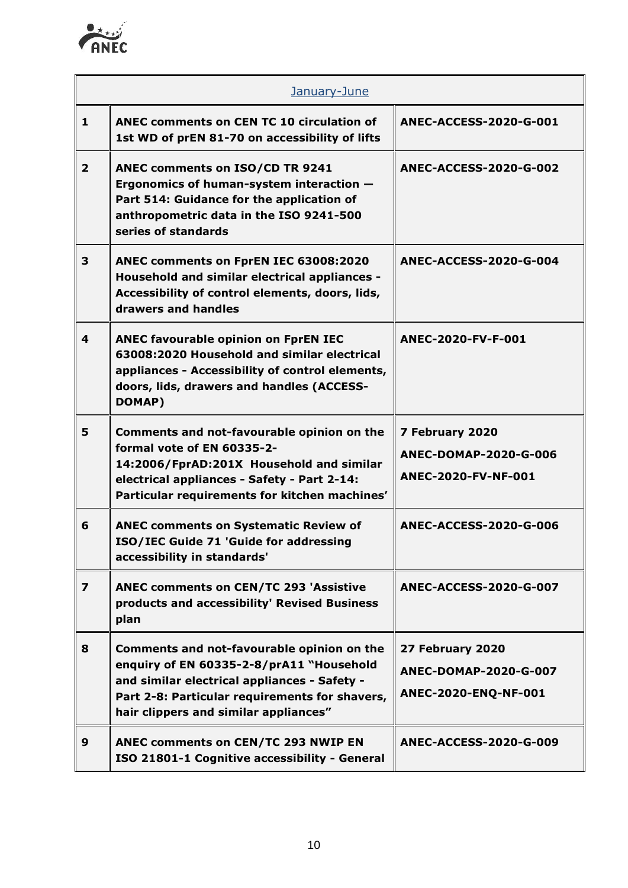

| January-June            |                                                                                                                                                                                                                                   |                                                                   |
|-------------------------|-----------------------------------------------------------------------------------------------------------------------------------------------------------------------------------------------------------------------------------|-------------------------------------------------------------------|
| $\mathbf{1}$            | ANEC comments on CEN TC 10 circulation of<br>1st WD of prEN 81-70 on accessibility of lifts                                                                                                                                       | <b>ANEC-ACCESS-2020-G-001</b>                                     |
| $\overline{2}$          | ANEC comments on ISO/CD TR 9241<br>Ergonomics of human-system interaction -<br>Part 514: Guidance for the application of<br>anthropometric data in the ISO 9241-500<br>series of standards                                        | <b>ANEC-ACCESS-2020-G-002</b>                                     |
| 3                       | ANEC comments on FprEN IEC 63008:2020<br>Household and similar electrical appliances -<br>Accessibility of control elements, doors, lids,<br>drawers and handles                                                                  | <b>ANEC-ACCESS-2020-G-004</b>                                     |
| 4                       | <b>ANEC favourable opinion on FprEN IEC</b><br>63008:2020 Household and similar electrical<br>appliances - Accessibility of control elements,<br>doors, lids, drawers and handles (ACCESS-<br>DOMAP)                              | ANEC-2020-FV-F-001                                                |
| 5                       | Comments and not-favourable opinion on the<br>formal vote of EN 60335-2-<br>14:2006/FprAD:201X Household and similar<br>electrical appliances - Safety - Part 2-14:<br>Particular requirements for kitchen machines'              | 7 February 2020<br>ANEC-DOMAP-2020-G-006<br>ANEC-2020-FV-NF-001   |
| 6                       | <b>ANEC comments on Systematic Review of</b><br>ISO/IEC Guide 71 'Guide for addressing<br>accessibility in standards'                                                                                                             | <b>ANEC-ACCESS-2020-G-006</b>                                     |
| $\overline{\mathbf{z}}$ | <b>ANEC comments on CEN/TC 293 'Assistive</b><br>products and accessibility' Revised Business<br>plan                                                                                                                             | ANEC-ACCESS-2020-G-007                                            |
| 8                       | Comments and not-favourable opinion on the<br>enquiry of EN 60335-2-8/prA11 "Household<br>and similar electrical appliances - Safety -<br>Part 2-8: Particular requirements for shavers,<br>hair clippers and similar appliances" | 27 February 2020<br>ANEC-DOMAP-2020-G-007<br>ANEC-2020-ENQ-NF-001 |
| 9                       | <b>ANEC comments on CEN/TC 293 NWIP EN</b><br>ISO 21801-1 Cognitive accessibility - General                                                                                                                                       | ANEC-ACCESS-2020-G-009                                            |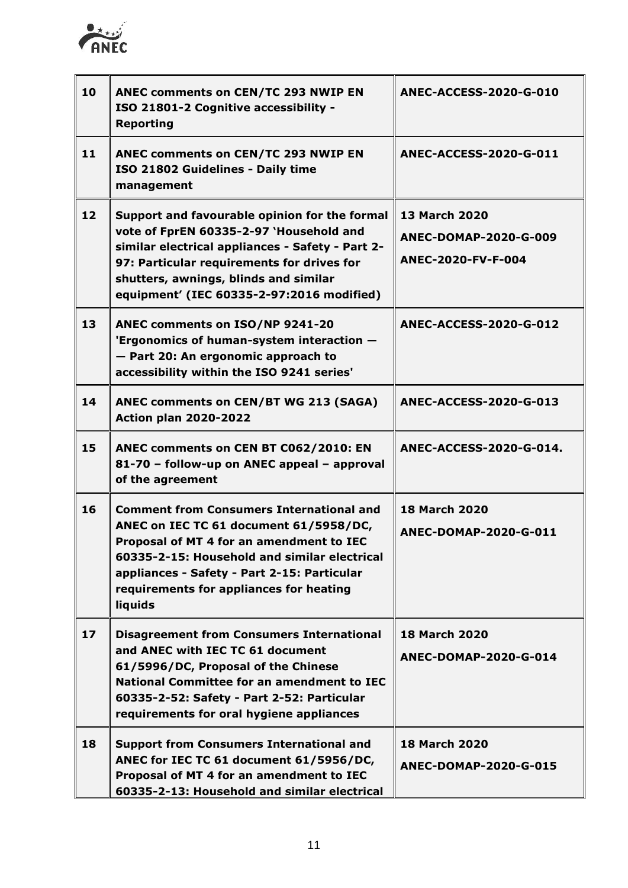

| 10 | ANEC comments on CEN/TC 293 NWIP EN<br>ISO 21801-2 Cognitive accessibility -<br><b>Reporting</b>                                                                                                                                                                                           | <b>ANEC-ACCESS-2020-G-010</b>                                       |
|----|--------------------------------------------------------------------------------------------------------------------------------------------------------------------------------------------------------------------------------------------------------------------------------------------|---------------------------------------------------------------------|
| 11 | ANEC comments on CEN/TC 293 NWIP EN<br>ISO 21802 Guidelines - Daily time<br>management                                                                                                                                                                                                     | <b>ANEC-ACCESS-2020-G-011</b>                                       |
| 12 | Support and favourable opinion for the formal<br>vote of FprEN 60335-2-97 'Household and<br>similar electrical appliances - Safety - Part 2-<br>97: Particular requirements for drives for<br>shutters, awnings, blinds and similar<br>equipment' (IEC 60335-2-97:2016 modified)           | <b>13 March 2020</b><br>ANEC-DOMAP-2020-G-009<br>ANEC-2020-FV-F-004 |
| 13 | ANEC comments on ISO/NP 9241-20<br>'Ergonomics of human-system interaction -<br>- Part 20: An ergonomic approach to<br>accessibility within the ISO 9241 series'                                                                                                                           | <b>ANEC-ACCESS-2020-G-012</b>                                       |
| 14 | ANEC comments on CEN/BT WG 213 (SAGA)<br><b>Action plan 2020-2022</b>                                                                                                                                                                                                                      | <b>ANEC-ACCESS-2020-G-013</b>                                       |
| 15 | ANEC comments on CEN BT C062/2010: EN<br>81-70 - follow-up on ANEC appeal - approval<br>of the agreement                                                                                                                                                                                   | ANEC-ACCESS-2020-G-014.                                             |
| 16 | <b>Comment from Consumers International and</b><br>ANEC on IEC TC 61 document 61/5958/DC,<br>Proposal of MT 4 for an amendment to IEC<br>60335-2-15: Household and similar electrical<br>appliances - Safety - Part 2-15: Particular<br>requirements for appliances for heating<br>liquids | <b>18 March 2020</b><br>ANEC-DOMAP-2020-G-011                       |
| 17 | <b>Disagreement from Consumers International</b><br>and ANEC with IEC TC 61 document<br>61/5996/DC, Proposal of the Chinese<br><b>National Committee for an amendment to IEC</b><br>60335-2-52: Safety - Part 2-52: Particular<br>requirements for oral hygiene appliances                 | <b>18 March 2020</b><br>ANEC-DOMAP-2020-G-014                       |
| 18 | <b>Support from Consumers International and</b><br>ANEC for IEC TC 61 document 61/5956/DC,<br>Proposal of MT 4 for an amendment to IEC<br>60335-2-13: Household and similar electrical                                                                                                     | <b>18 March 2020</b><br><b>ANEC-DOMAP-2020-G-015</b>                |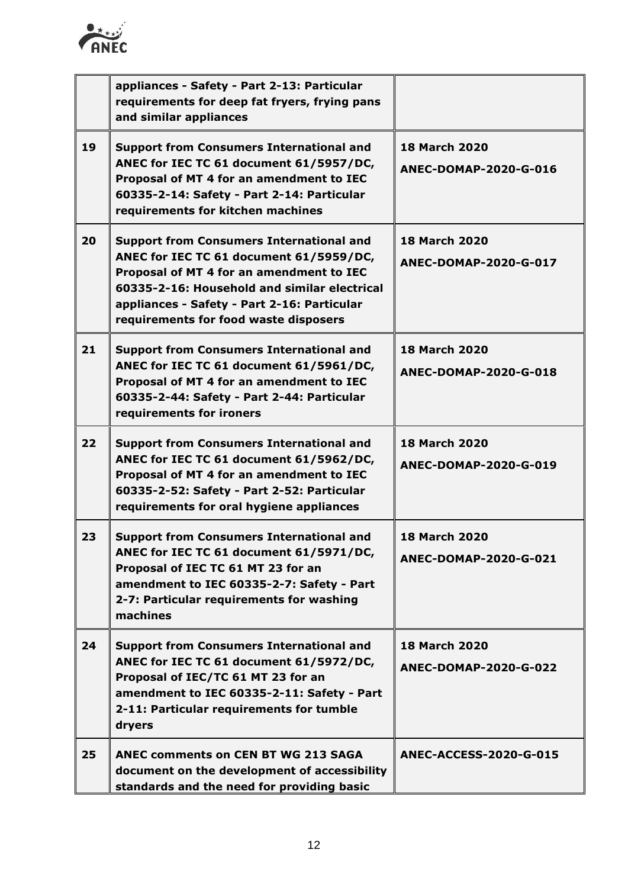

|    | appliances - Safety - Part 2-13: Particular<br>requirements for deep fat fryers, frying pans<br>and similar appliances                                                                                                                                                         |                                                      |
|----|--------------------------------------------------------------------------------------------------------------------------------------------------------------------------------------------------------------------------------------------------------------------------------|------------------------------------------------------|
| 19 | <b>Support from Consumers International and</b><br>ANEC for IEC TC 61 document 61/5957/DC,<br>Proposal of MT 4 for an amendment to IEC<br>60335-2-14: Safety - Part 2-14: Particular<br>requirements for kitchen machines                                                      | <b>18 March 2020</b><br>ANEC-DOMAP-2020-G-016        |
| 20 | <b>Support from Consumers International and</b><br>ANEC for IEC TC 61 document 61/5959/DC,<br>Proposal of MT 4 for an amendment to IEC<br>60335-2-16: Household and similar electrical<br>appliances - Safety - Part 2-16: Particular<br>requirements for food waste disposers | <b>18 March 2020</b><br>ANEC-DOMAP-2020-G-017        |
| 21 | <b>Support from Consumers International and</b><br>ANEC for IEC TC 61 document 61/5961/DC,<br>Proposal of MT 4 for an amendment to IEC<br>60335-2-44: Safety - Part 2-44: Particular<br>requirements for ironers                                                               | <b>18 March 2020</b><br><b>ANEC-DOMAP-2020-G-018</b> |
| 22 | <b>Support from Consumers International and</b><br>ANEC for IEC TC 61 document 61/5962/DC,<br>Proposal of MT 4 for an amendment to IEC<br>60335-2-52: Safety - Part 2-52: Particular<br>requirements for oral hygiene appliances                                               | <b>18 March 2020</b><br>ANEC-DOMAP-2020-G-019        |
| 23 | <b>Support from Consumers International and</b><br>ANEC for IEC TC 61 document 61/5971/DC,<br>Proposal of IEC TC 61 MT 23 for an<br>amendment to IEC 60335-2-7: Safety - Part<br>2-7: Particular requirements for washing<br>machines                                          | <b>18 March 2020</b><br>ANEC-DOMAP-2020-G-021        |
| 24 | <b>Support from Consumers International and</b><br>ANEC for IEC TC 61 document 61/5972/DC,<br>Proposal of IEC/TC 61 MT 23 for an<br>amendment to IEC 60335-2-11: Safety - Part<br>2-11: Particular requirements for tumble<br>dryers                                           | <b>18 March 2020</b><br>ANEC-DOMAP-2020-G-022        |
| 25 | <b>ANEC comments on CEN BT WG 213 SAGA</b><br>document on the development of accessibility<br>standards and the need for providing basic                                                                                                                                       | <b>ANEC-ACCESS-2020-G-015</b>                        |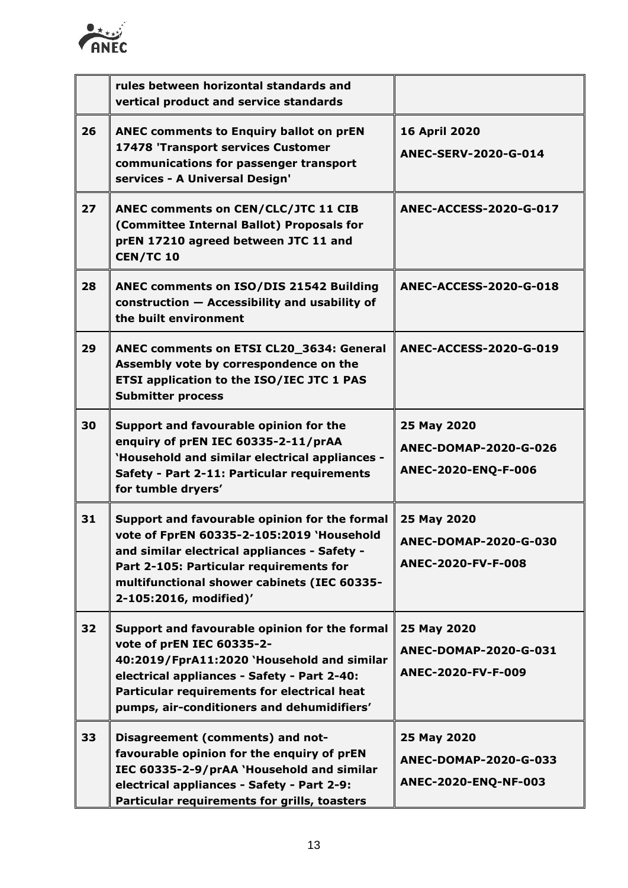

|    | rules between horizontal standards and<br>vertical product and service standards                                                                                                                                                                                     |                                                              |
|----|----------------------------------------------------------------------------------------------------------------------------------------------------------------------------------------------------------------------------------------------------------------------|--------------------------------------------------------------|
| 26 | <b>ANEC comments to Enquiry ballot on prEN</b><br>17478 'Transport services Customer<br>communications for passenger transport<br>services - A Universal Design'                                                                                                     | <b>16 April 2020</b><br>ANEC-SERV-2020-G-014                 |
| 27 | ANEC comments on CEN/CLC/JTC 11 CIB<br>(Committee Internal Ballot) Proposals for<br>prEN 17210 agreed between JTC 11 and<br><b>CEN/TC 10</b>                                                                                                                         | <b>ANEC-ACCESS-2020-G-017</b>                                |
| 28 | <b>ANEC comments on ISO/DIS 21542 Building</b><br>construction - Accessibility and usability of<br>the built environment                                                                                                                                             | <b>ANEC-ACCESS-2020-G-018</b>                                |
| 29 | ANEC comments on ETSI CL20_3634: General<br>Assembly vote by correspondence on the<br>ETSI application to the ISO/IEC JTC 1 PAS<br><b>Submitter process</b>                                                                                                          | <b>ANEC-ACCESS-2020-G-019</b>                                |
| 30 | Support and favourable opinion for the<br>enquiry of prEN IEC 60335-2-11/prAA<br>'Household and similar electrical appliances -<br>Safety - Part 2-11: Particular requirements<br>for tumble dryers'                                                                 | 25 May 2020<br>ANEC-DOMAP-2020-G-026<br>ANEC-2020-ENQ-F-006  |
| 31 | Support and favourable opinion for the formal<br>vote of FprEN 60335-2-105:2019 'Household<br>and similar electrical appliances - Safety -<br>Part 2-105: Particular requirements for<br>multifunctional shower cabinets (IEC 60335-<br>2-105:2016, modified)'       | 25 May 2020<br>ANEC-DOMAP-2020-G-030<br>ANEC-2020-FV-F-008   |
| 32 | Support and favourable opinion for the formal<br>vote of prEN IEC 60335-2-<br>40:2019/FprA11:2020 'Household and similar<br>electrical appliances - Safety - Part 2-40:<br>Particular requirements for electrical heat<br>pumps, air-conditioners and dehumidifiers' | 25 May 2020<br>ANEC-DOMAP-2020-G-031<br>ANEC-2020-FV-F-009   |
| 33 | Disagreement (comments) and not-<br>favourable opinion for the enquiry of prEN<br>IEC 60335-2-9/prAA `Household and similar<br>electrical appliances - Safety - Part 2-9:<br>Particular requirements for grills, toasters                                            | 25 May 2020<br>ANEC-DOMAP-2020-G-033<br>ANEC-2020-ENQ-NF-003 |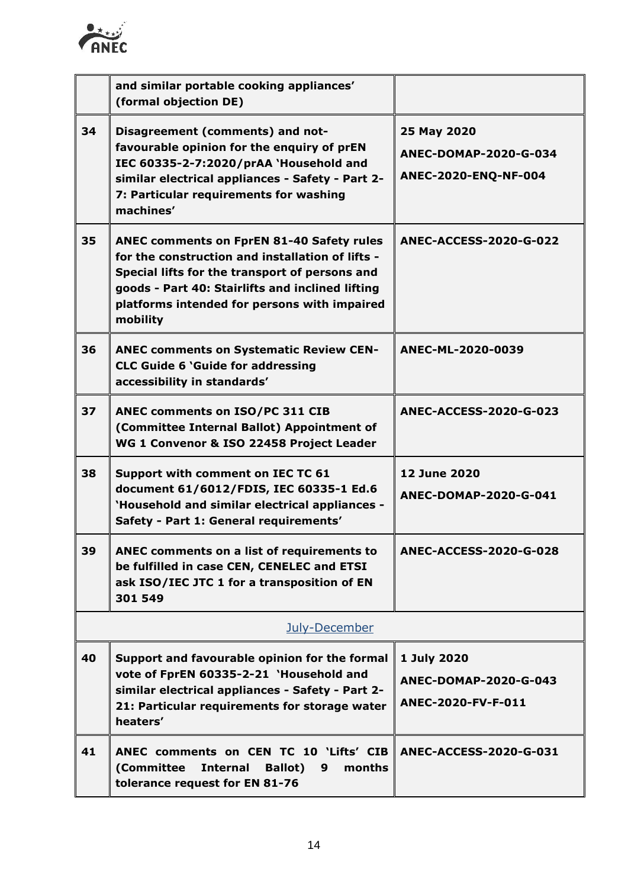

|    | and similar portable cooking appliances'<br>(formal objection DE)                                                                                                                                                                                                      |                                                              |
|----|------------------------------------------------------------------------------------------------------------------------------------------------------------------------------------------------------------------------------------------------------------------------|--------------------------------------------------------------|
| 34 | Disagreement (comments) and not-<br>favourable opinion for the enquiry of prEN<br>IEC 60335-2-7:2020/prAA `Household and<br>similar electrical appliances - Safety - Part 2-<br>7: Particular requirements for washing<br>machines'                                    | 25 May 2020<br>ANEC-DOMAP-2020-G-034<br>ANEC-2020-ENQ-NF-004 |
| 35 | <b>ANEC comments on FprEN 81-40 Safety rules</b><br>for the construction and installation of lifts -<br>Special lifts for the transport of persons and<br>goods - Part 40: Stairlifts and inclined lifting<br>platforms intended for persons with impaired<br>mobility | <b>ANEC-ACCESS-2020-G-022</b>                                |
| 36 | <b>ANEC comments on Systematic Review CEN-</b><br><b>CLC Guide 6 'Guide for addressing</b><br>accessibility in standards'                                                                                                                                              | ANEC-ML-2020-0039                                            |
| 37 | ANEC comments on ISO/PC 311 CIB<br>(Committee Internal Ballot) Appointment of<br>WG 1 Convenor & ISO 22458 Project Leader                                                                                                                                              | <b>ANEC-ACCESS-2020-G-023</b>                                |
| 38 | Support with comment on IEC TC 61<br>document 61/6012/FDIS, IEC 60335-1 Ed.6<br>'Household and similar electrical appliances -<br>Safety - Part 1: General requirements'                                                                                               | <b>12 June 2020</b><br><b>ANEC-DOMAP-2020-G-041</b>          |
| 39 | ANEC comments on a list of requirements to<br>be fulfilled in case CEN, CENELEC and ETSI<br>ask ISO/IEC JTC 1 for a transposition of EN<br>301 549                                                                                                                     | <b>ANEC-ACCESS-2020-G-028</b>                                |
|    | July-December                                                                                                                                                                                                                                                          |                                                              |
| 40 | Support and favourable opinion for the formal<br>vote of FprEN 60335-2-21 'Household and<br>similar electrical appliances - Safety - Part 2-<br>21: Particular requirements for storage water<br>heaters'                                                              | 1 July 2020<br>ANEC-DOMAP-2020-G-043<br>ANEC-2020-FV-F-011   |
| 41 | ANEC comments on CEN TC 10 'Lifts' CIB<br><b>Internal</b><br>(Committee<br><b>Ballot</b> )<br>months<br>9<br>tolerance request for EN 81-76                                                                                                                            | ANEC-ACCESS-2020-G-031                                       |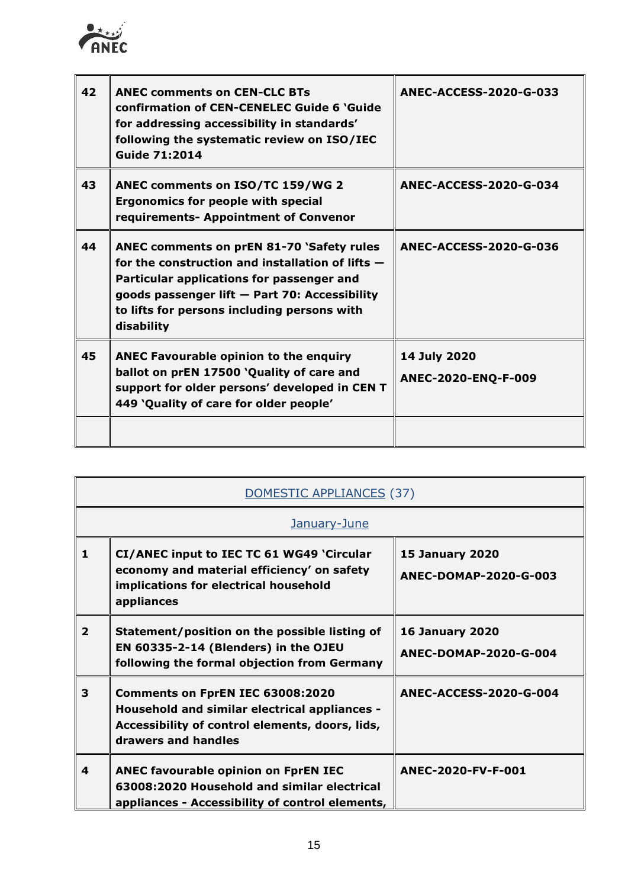

 $\mathbf{r}$ 

| 42 | <b>ANEC comments on CEN-CLC BTs</b><br>confirmation of CEN-CENELEC Guide 6 'Guide<br>for addressing accessibility in standards'<br>following the systematic review on ISO/IEC<br><b>Guide 71:2014</b>                                                      | <b>ANEC-ACCESS-2020-G-033</b>       |
|----|------------------------------------------------------------------------------------------------------------------------------------------------------------------------------------------------------------------------------------------------------------|-------------------------------------|
| 43 | ANEC comments on ISO/TC 159/WG 2<br><b>Ergonomics for people with special</b><br>requirements- Appointment of Convenor                                                                                                                                     | <b>ANEC-ACCESS-2020-G-034</b>       |
| 44 | ANEC comments on prEN 81-70 'Safety rules<br>for the construction and installation of lifts $-$<br>Particular applications for passenger and<br>goods passenger lift - Part 70: Accessibility<br>to lifts for persons including persons with<br>disability | <b>ANEC-ACCESS-2020-G-036</b>       |
| 45 | <b>ANEC Favourable opinion to the enquiry</b><br>ballot on prEN 17500 'Quality of care and<br>support for older persons' developed in CEN T<br>449 'Quality of care for older people'                                                                      | 14 July 2020<br>ANEC-2020-ENQ-F-009 |
|    |                                                                                                                                                                                                                                                            |                                     |

| DOMESTIC APPLIANCES (37) |                                                                                                                                                             |                                                 |
|--------------------------|-------------------------------------------------------------------------------------------------------------------------------------------------------------|-------------------------------------------------|
|                          | January-June                                                                                                                                                |                                                 |
| 1                        | CI/ANEC input to IEC TC 61 WG49 'Circular<br>economy and material efficiency' on safety<br>implications for electrical household<br>appliances              | <b>15 January 2020</b><br>ANEC-DOMAP-2020-G-003 |
| $\overline{2}$           | Statement/position on the possible listing of<br>EN 60335-2-14 (Blenders) in the OJEU<br>following the formal objection from Germany                        | <b>16 January 2020</b><br>ANEC-DOMAP-2020-G-004 |
| 3                        | Comments on FprEN IEC 63008:2020<br>Household and similar electrical appliances -<br>Accessibility of control elements, doors, lids,<br>drawers and handles | ANEC-ACCESS-2020-G-004                          |
| 4                        | <b>ANEC favourable opinion on FprEN IEC</b><br>63008:2020 Household and similar electrical<br>appliances - Accessibility of control elements,               | ANEC-2020-FV-F-001                              |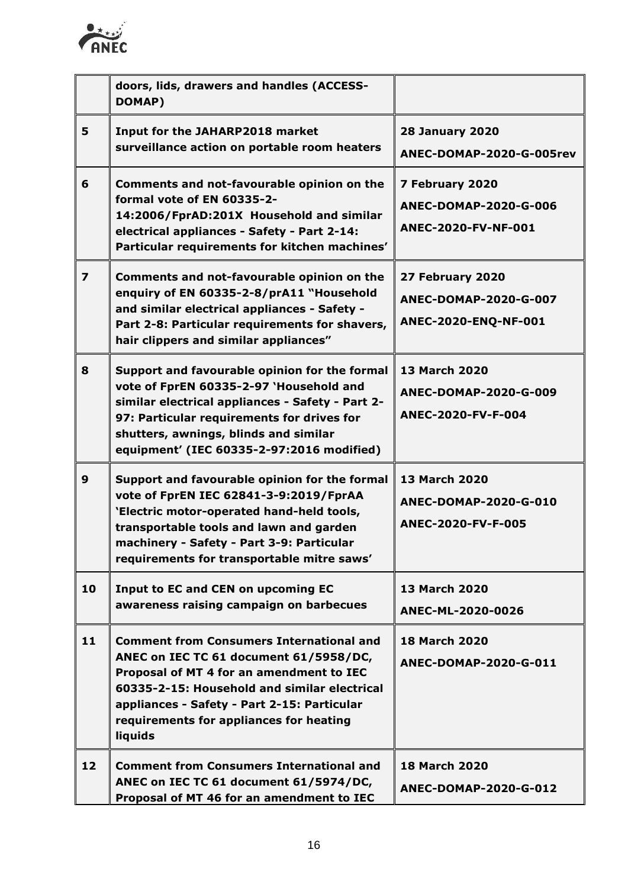

|                         | doors, lids, drawers and handles (ACCESS-<br>DOMAP)                                                                                                                                                                                                                                        |                                                                     |
|-------------------------|--------------------------------------------------------------------------------------------------------------------------------------------------------------------------------------------------------------------------------------------------------------------------------------------|---------------------------------------------------------------------|
| 5                       | <b>Input for the JAHARP2018 market</b><br>surveillance action on portable room heaters                                                                                                                                                                                                     | <b>28 January 2020</b><br>ANEC-DOMAP-2020-G-005rev                  |
| 6                       | Comments and not-favourable opinion on the<br>formal vote of EN 60335-2-<br>14:2006/FprAD:201X Household and similar<br>electrical appliances - Safety - Part 2-14:<br>Particular requirements for kitchen machines'                                                                       | 7 February 2020<br>ANEC-DOMAP-2020-G-006<br>ANEC-2020-FV-NF-001     |
| $\overline{\mathbf{z}}$ | Comments and not-favourable opinion on the<br>enquiry of EN 60335-2-8/prA11 "Household<br>and similar electrical appliances - Safety -<br>Part 2-8: Particular requirements for shavers,<br>hair clippers and similar appliances"                                                          | 27 February 2020<br>ANEC-DOMAP-2020-G-007<br>ANEC-2020-ENQ-NF-001   |
| 8                       | Support and favourable opinion for the formal<br>vote of FprEN 60335-2-97 'Household and<br>similar electrical appliances - Safety - Part 2-<br>97: Particular requirements for drives for<br>shutters, awnings, blinds and similar<br>equipment' (IEC 60335-2-97:2016 modified)           | <b>13 March 2020</b><br>ANEC-DOMAP-2020-G-009<br>ANEC-2020-FV-F-004 |
| $\boldsymbol{9}$        | Support and favourable opinion for the formal<br>vote of FprEN IEC 62841-3-9:2019/FprAA<br>'Electric motor-operated hand-held tools,<br>transportable tools and lawn and garden<br>machinery - Safety - Part 3-9: Particular<br>requirements for transportable mitre saws'                 | 13 March 2020<br>ANEC-DOMAP-2020-G-010<br>ANEC-2020-FV-F-005        |
| 10                      | <b>Input to EC and CEN on upcoming EC</b><br>awareness raising campaign on barbecues                                                                                                                                                                                                       | 13 March 2020<br>ANEC-ML-2020-0026                                  |
| 11                      | <b>Comment from Consumers International and</b><br>ANEC on IEC TC 61 document 61/5958/DC,<br>Proposal of MT 4 for an amendment to IEC<br>60335-2-15: Household and similar electrical<br>appliances - Safety - Part 2-15: Particular<br>requirements for appliances for heating<br>liquids | <b>18 March 2020</b><br>ANEC-DOMAP-2020-G-011                       |
| 12                      | <b>Comment from Consumers International and</b><br>ANEC on IEC TC 61 document 61/5974/DC,<br>Proposal of MT 46 for an amendment to IEC                                                                                                                                                     | <b>18 March 2020</b><br>ANEC-DOMAP-2020-G-012                       |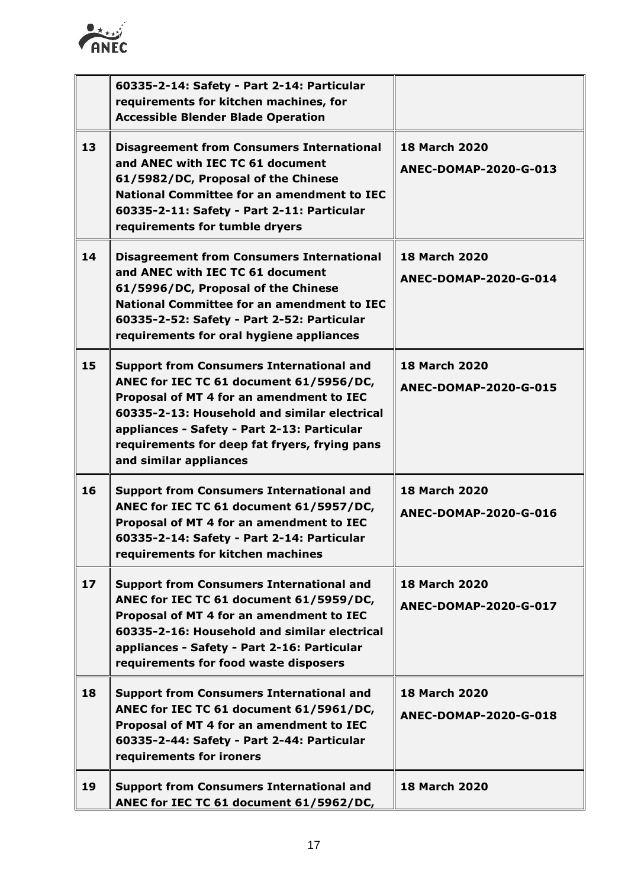

|                 | 60335-2-14: Safety - Part 2-14: Particular<br>requirements for kitchen machines, for<br><b>Accessible Blender Blade Operation</b>                                                                                                                                                                                |                                                      |
|-----------------|------------------------------------------------------------------------------------------------------------------------------------------------------------------------------------------------------------------------------------------------------------------------------------------------------------------|------------------------------------------------------|
| 13              | <b>Disagreement from Consumers International</b><br>and ANEC with IEC TC 61 document<br>61/5982/DC, Proposal of the Chinese<br><b>National Committee for an amendment to IEC</b><br>60335-2-11: Safety - Part 2-11: Particular<br>requirements for tumble dryers                                                 | <b>18 March 2020</b><br>ANEC-DOMAP-2020-G-013        |
| 14              | <b>Disagreement from Consumers International</b><br>and ANEC with IEC TC 61 document<br>61/5996/DC, Proposal of the Chinese<br><b>National Committee for an amendment to IEC</b><br>60335-2-52: Safety - Part 2-52: Particular<br>requirements for oral hygiene appliances                                       | <b>18 March 2020</b><br>ANEC-DOMAP-2020-G-014        |
| 15              | <b>Support from Consumers International and</b><br>ANEC for IEC TC 61 document 61/5956/DC,<br>Proposal of MT 4 for an amendment to IEC<br>60335-2-13: Household and similar electrical<br>appliances - Safety - Part 2-13: Particular<br>requirements for deep fat fryers, frying pans<br>and similar appliances | <b>18 March 2020</b><br><b>ANEC-DOMAP-2020-G-015</b> |
| 16              | <b>Support from Consumers International and</b><br>ANEC for IEC TC 61 document 61/5957/DC,<br>Proposal of MT 4 for an amendment to IEC<br>60335-2-14: Safety - Part 2-14: Particular<br>requirements for kitchen machines                                                                                        | <b>18 March 2020</b><br>ANEC-DOMAP-2020-G-016        |
| 17 <sup>2</sup> | <b>Support from Consumers International and</b><br>ANEC for IEC TC 61 document 61/5959/DC,<br>Proposal of MT 4 for an amendment to IEC<br>60335-2-16: Household and similar electrical<br>appliances - Safety - Part 2-16: Particular<br>requirements for food waste disposers                                   | <b>18 March 2020</b><br><b>ANEC-DOMAP-2020-G-017</b> |
| 18              | <b>Support from Consumers International and</b><br>ANEC for IEC TC 61 document 61/5961/DC,<br>Proposal of MT 4 for an amendment to IEC<br>60335-2-44: Safety - Part 2-44: Particular<br>requirements for ironers                                                                                                 | <b>18 March 2020</b><br><b>ANEC-DOMAP-2020-G-018</b> |
| 19              | <b>Support from Consumers International and</b><br>ANEC for IEC TC 61 document 61/5962/DC,                                                                                                                                                                                                                       | <b>18 March 2020</b>                                 |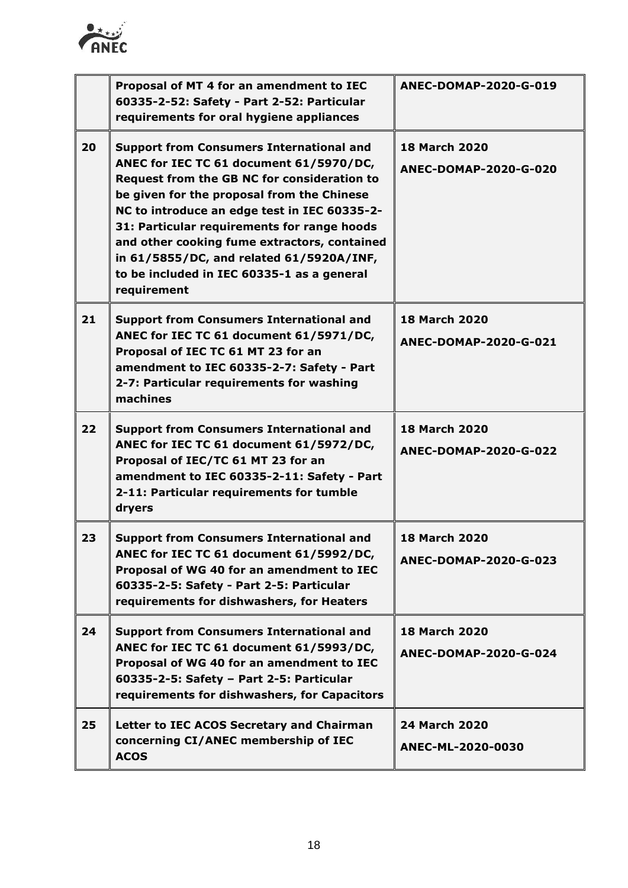

|    | Proposal of MT 4 for an amendment to IEC<br>60335-2-52: Safety - Part 2-52: Particular<br>requirements for oral hygiene appliances                                                                                                                                                                                                                                                                                                                     | ANEC-DOMAP-2020-G-019                                |
|----|--------------------------------------------------------------------------------------------------------------------------------------------------------------------------------------------------------------------------------------------------------------------------------------------------------------------------------------------------------------------------------------------------------------------------------------------------------|------------------------------------------------------|
| 20 | <b>Support from Consumers International and</b><br>ANEC for IEC TC 61 document 61/5970/DC,<br><b>Request from the GB NC for consideration to</b><br>be given for the proposal from the Chinese<br>NC to introduce an edge test in IEC 60335-2-<br>31: Particular requirements for range hoods<br>and other cooking fume extractors, contained<br>in 61/5855/DC, and related 61/5920A/INF,<br>to be included in IEC 60335-1 as a general<br>requirement | <b>18 March 2020</b><br>ANEC-DOMAP-2020-G-020        |
| 21 | <b>Support from Consumers International and</b><br>ANEC for IEC TC 61 document 61/5971/DC,<br>Proposal of IEC TC 61 MT 23 for an<br>amendment to IEC 60335-2-7: Safety - Part<br>2-7: Particular requirements for washing<br>machines                                                                                                                                                                                                                  | <b>18 March 2020</b><br>ANEC-DOMAP-2020-G-021        |
| 22 | <b>Support from Consumers International and</b><br>ANEC for IEC TC 61 document 61/5972/DC,<br>Proposal of IEC/TC 61 MT 23 for an<br>amendment to IEC 60335-2-11: Safety - Part<br>2-11: Particular requirements for tumble<br>dryers                                                                                                                                                                                                                   | <b>18 March 2020</b><br><b>ANEC-DOMAP-2020-G-022</b> |
| 23 | <b>Support from Consumers International and</b><br>ANEC for IEC TC 61 document 61/5992/DC,<br>Proposal of WG 40 for an amendment to IEC<br>60335-2-5: Safety - Part 2-5: Particular<br>requirements for dishwashers, for Heaters                                                                                                                                                                                                                       | <b>18 March 2020</b><br>ANEC-DOMAP-2020-G-023        |
| 24 | <b>Support from Consumers International and</b><br>ANEC for IEC TC 61 document 61/5993/DC,<br>Proposal of WG 40 for an amendment to IEC<br>60335-2-5: Safety - Part 2-5: Particular<br>requirements for dishwashers, for Capacitors                                                                                                                                                                                                                    | <b>18 March 2020</b><br>ANEC-DOMAP-2020-G-024        |
| 25 | Letter to IEC ACOS Secretary and Chairman<br>concerning CI/ANEC membership of IEC<br><b>ACOS</b>                                                                                                                                                                                                                                                                                                                                                       | <b>24 March 2020</b><br>ANEC-ML-2020-0030            |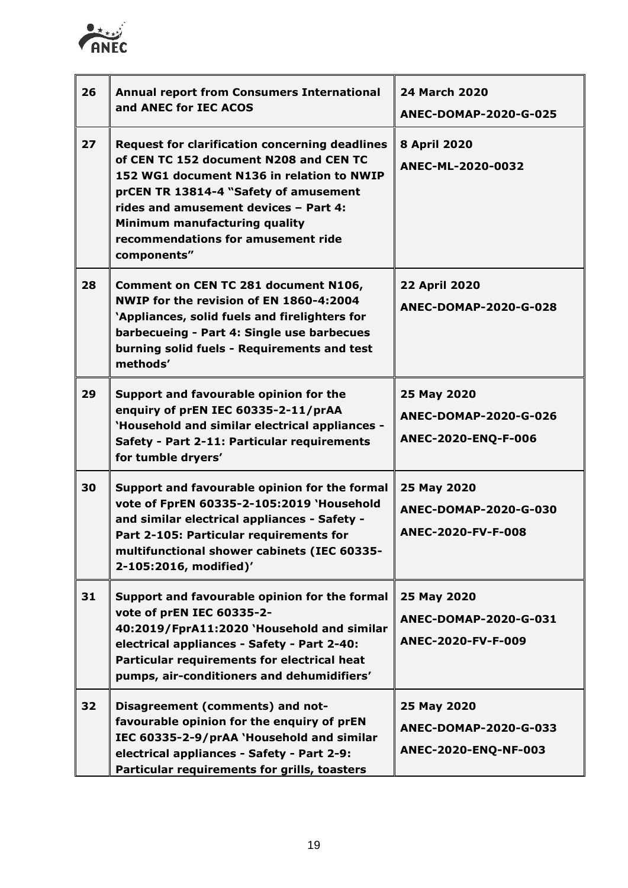

| 26 | <b>Annual report from Consumers International</b><br>and ANEC for IEC ACOS                                                                                                                                                                                                                                           | <b>24 March 2020</b><br><b>ANEC-DOMAP-2020-G-025</b>              |
|----|----------------------------------------------------------------------------------------------------------------------------------------------------------------------------------------------------------------------------------------------------------------------------------------------------------------------|-------------------------------------------------------------------|
| 27 | <b>Request for clarification concerning deadlines</b><br>of CEN TC 152 document N208 and CEN TC<br>152 WG1 document N136 in relation to NWIP<br>prCEN TR 13814-4 "Safety of amusement<br>rides and amusement devices - Part 4:<br>Minimum manufacturing quality<br>recommendations for amusement ride<br>components" | <b>8 April 2020</b><br>ANEC-ML-2020-0032                          |
| 28 | Comment on CEN TC 281 document N106,<br>NWIP for the revision of EN 1860-4:2004<br>'Appliances, solid fuels and firelighters for<br>barbecueing - Part 4: Single use barbecues<br>burning solid fuels - Requirements and test<br>methods'                                                                            | <b>22 April 2020</b><br>ANEC-DOMAP-2020-G-028                     |
| 29 | Support and favourable opinion for the<br>enquiry of prEN IEC 60335-2-11/prAA<br>'Household and similar electrical appliances -<br>Safety - Part 2-11: Particular requirements<br>for tumble dryers'                                                                                                                 | 25 May 2020<br>ANEC-DOMAP-2020-G-026<br>ANEC-2020-ENQ-F-006       |
| 30 | Support and favourable opinion for the formal<br>vote of FprEN 60335-2-105:2019 'Household<br>and similar electrical appliances - Safety -<br>Part 2-105: Particular requirements for<br>multifunctional shower cabinets (IEC 60335-<br>2-105:2016, modified)'                                                       | 25 May 2020<br>ANEC-DOMAP-2020-G-030<br>ANEC-2020-FV-F-008        |
| 31 | Support and favourable opinion for the formal<br>vote of prEN IEC 60335-2-<br>40:2019/FprA11:2020 'Household and similar<br>electrical appliances - Safety - Part 2-40:<br>Particular requirements for electrical heat<br>pumps, air-conditioners and dehumidifiers'                                                 | 25 May 2020<br><b>ANEC-DOMAP-2020-G-031</b><br>ANEC-2020-FV-F-009 |
| 32 | Disagreement (comments) and not-<br>favourable opinion for the enquiry of prEN<br>IEC 60335-2-9/prAA `Household and similar<br>electrical appliances - Safety - Part 2-9:<br>Particular requirements for grills, toasters                                                                                            | 25 May 2020<br>ANEC-DOMAP-2020-G-033<br>ANEC-2020-ENQ-NF-003      |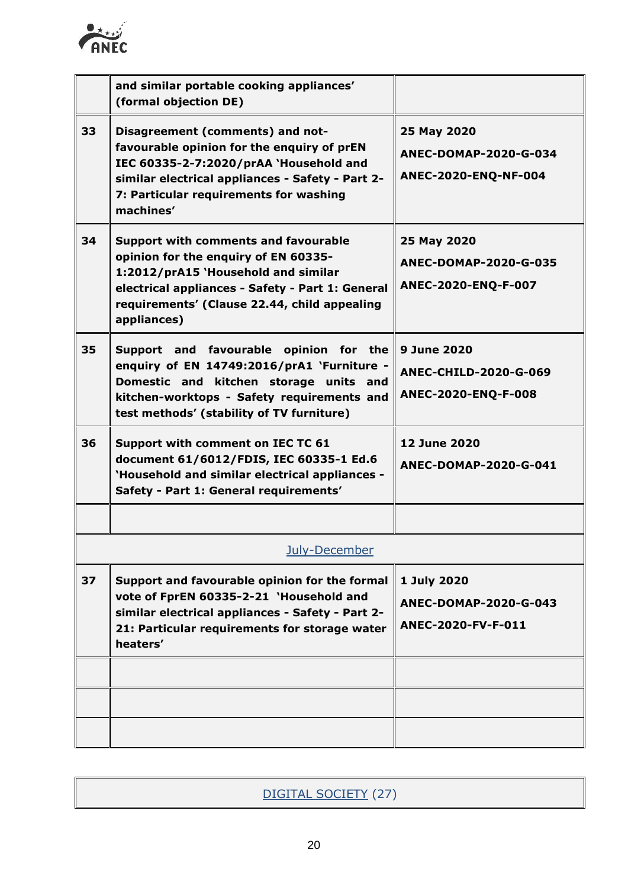

|    | and similar portable cooking appliances'                                                                                                                                                                                                      |                                                                    |
|----|-----------------------------------------------------------------------------------------------------------------------------------------------------------------------------------------------------------------------------------------------|--------------------------------------------------------------------|
|    | (formal objection DE)                                                                                                                                                                                                                         |                                                                    |
| 33 | Disagreement (comments) and not-<br>favourable opinion for the enquiry of prEN<br>IEC 60335-2-7:2020/prAA `Household and<br>similar electrical appliances - Safety - Part 2-<br>7: Particular requirements for washing<br>machines'           | 25 May 2020<br>ANEC-DOMAP-2020-G-034<br>ANEC-2020-ENQ-NF-004       |
| 34 | <b>Support with comments and favourable</b><br>opinion for the enquiry of EN 60335-<br>1:2012/prA15 'Household and similar<br>electrical appliances - Safety - Part 1: General<br>requirements' (Clause 22.44, child appealing<br>appliances) | 25 May 2020<br>ANEC-DOMAP-2020-G-035<br>ANEC-2020-ENQ-F-007        |
| 35 | Support and favourable opinion for the<br>enquiry of EN 14749:2016/prA1 `Furniture -<br>Domestic and kitchen storage units and<br>kitchen-worktops - Safety requirements and<br>test methods' (stability of TV furniture)                     | 9 June 2020<br><b>ANEC-CHILD-2020-G-069</b><br>ANEC-2020-ENQ-F-008 |
| 36 | Support with comment on IEC TC 61<br>document 61/6012/FDIS, IEC 60335-1 Ed.6<br>'Household and similar electrical appliances -<br>Safety - Part 1: General requirements'                                                                      | <b>12 June 2020</b><br>ANEC-DOMAP-2020-G-041                       |
|    |                                                                                                                                                                                                                                               |                                                                    |
|    | July-December                                                                                                                                                                                                                                 |                                                                    |
| 37 | Support and favourable opinion for the formal<br>vote of FprEN 60335-2-21 'Household and<br>similar electrical appliances - Safety - Part 2-<br>21: Particular requirements for storage water<br>heaters'                                     | 1 July 2020<br>ANEC-DOMAP-2020-G-043<br>ANEC-2020-FV-F-011         |
|    |                                                                                                                                                                                                                                               |                                                                    |
|    |                                                                                                                                                                                                                                               |                                                                    |
|    |                                                                                                                                                                                                                                               |                                                                    |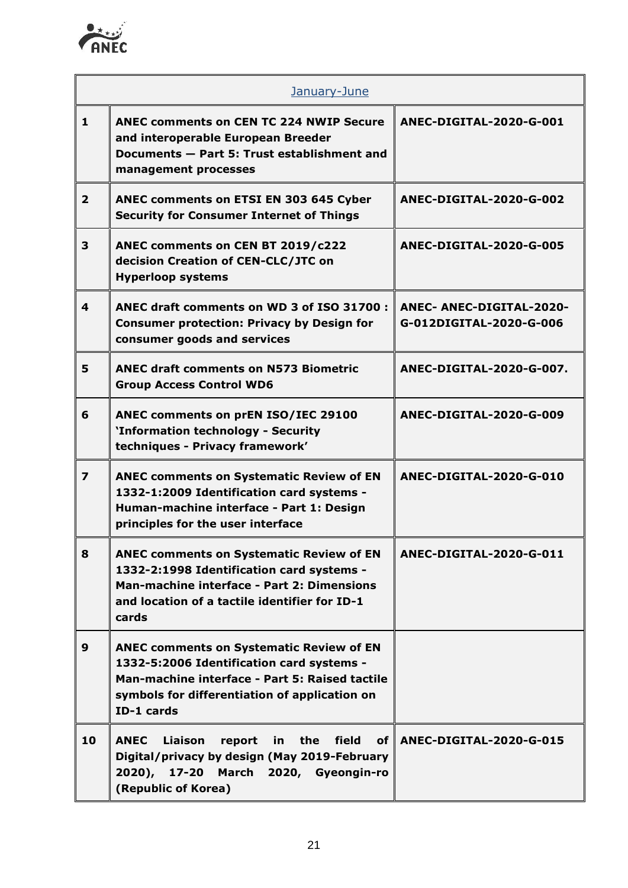

|                         | January-June                                                                                                                                                                                                  |                                                            |  |
|-------------------------|---------------------------------------------------------------------------------------------------------------------------------------------------------------------------------------------------------------|------------------------------------------------------------|--|
| 1                       | <b>ANEC comments on CEN TC 224 NWIP Secure</b><br>and interoperable European Breeder<br>Documents - Part 5: Trust establishment and<br>management processes                                                   | ANEC-DIGITAL-2020-G-001                                    |  |
| $\overline{2}$          | ANEC comments on ETSI EN 303 645 Cyber<br><b>Security for Consumer Internet of Things</b>                                                                                                                     | ANEC-DIGITAL-2020-G-002                                    |  |
| 3                       | ANEC comments on CEN BT 2019/c222<br>decision Creation of CEN-CLC/JTC on<br><b>Hyperloop systems</b>                                                                                                          | ANEC-DIGITAL-2020-G-005                                    |  |
| $\overline{\mathbf{4}}$ | ANEC draft comments on WD 3 of ISO 31700 :<br><b>Consumer protection: Privacy by Design for</b><br>consumer goods and services                                                                                | <b>ANEC- ANEC-DIGITAL-2020-</b><br>G-012DIGITAL-2020-G-006 |  |
| 5                       | <b>ANEC draft comments on N573 Biometric</b><br><b>Group Access Control WD6</b>                                                                                                                               | ANEC-DIGITAL-2020-G-007.                                   |  |
| 6                       | ANEC comments on prEN ISO/IEC 29100<br>'Information technology - Security<br>techniques - Privacy framework'                                                                                                  | ANEC-DIGITAL-2020-G-009                                    |  |
| 7                       | <b>ANEC comments on Systematic Review of EN</b><br>1332-1:2009 Identification card systems -<br>Human-machine interface - Part 1: Design<br>principles for the user interface                                 | ANEC-DIGITAL-2020-G-010                                    |  |
| 8                       | <b>ANEC comments on Systematic Review of EN</b><br>1332-2:1998 Identification card systems -<br>Man-machine interface - Part 2: Dimensions<br>and location of a tactile identifier for ID-1<br>cards          | ANEC-DIGITAL-2020-G-011                                    |  |
| 9                       | <b>ANEC comments on Systematic Review of EN</b><br>1332-5:2006 Identification card systems -<br>Man-machine interface - Part 5: Raised tactile<br>symbols for differentiation of application on<br>ID-1 cards |                                                            |  |
| 10                      | <b>ANEC</b><br>Liaison<br>field<br>report<br>the<br><b>of</b><br>in<br>Digital/privacy by design (May 2019-February<br>$2020$ ),<br>17-20<br>March 2020, Gyeongin-ro<br>(Republic of Korea)                   | ANEC-DIGITAL-2020-G-015                                    |  |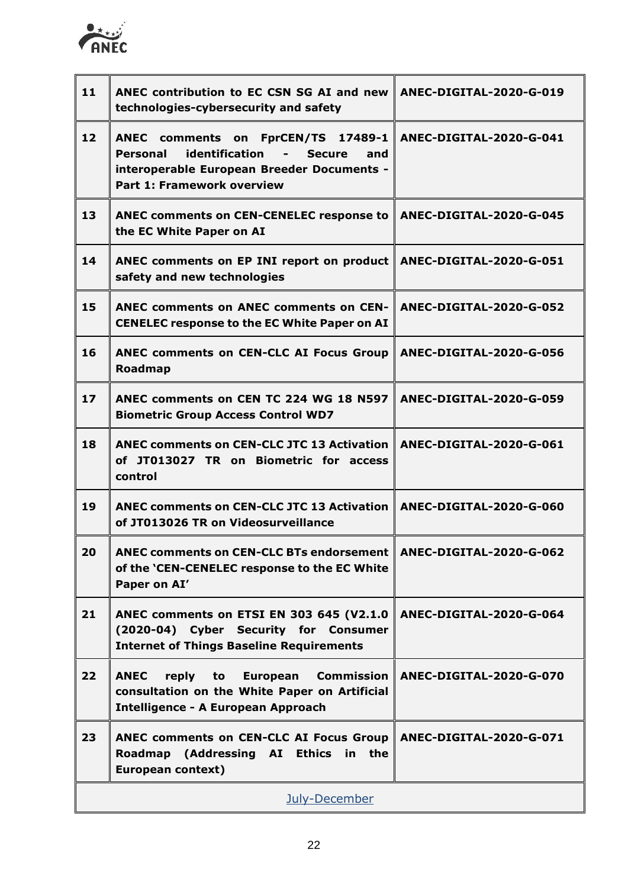

| 11                | ANEC contribution to EC CSN SG AI and new<br>technologies-cybersecurity and safety                                                                                                            | ANEC-DIGITAL-2020-G-019 |
|-------------------|-----------------------------------------------------------------------------------------------------------------------------------------------------------------------------------------------|-------------------------|
| $12 \overline{ }$ | ANEC comments on FprCEN/TS 17489-1<br>identification<br>Personal<br><b>Secure</b><br>$\blacksquare$<br>and<br>interoperable European Breeder Documents -<br><b>Part 1: Framework overview</b> | ANEC-DIGITAL-2020-G-041 |
| 13                | <b>ANEC comments on CEN-CENELEC response to</b><br>the EC White Paper on AI                                                                                                                   | ANEC-DIGITAL-2020-G-045 |
| 14                | ANEC comments on EP INI report on product<br>safety and new technologies                                                                                                                      | ANEC-DIGITAL-2020-G-051 |
| 15                | <b>ANEC comments on ANEC comments on CEN-</b><br><b>CENELEC response to the EC White Paper on AI</b>                                                                                          | ANEC-DIGITAL-2020-G-052 |
| 16                | <b>ANEC comments on CEN-CLC AI Focus Group</b><br><b>Roadmap</b>                                                                                                                              | ANEC-DIGITAL-2020-G-056 |
| 17                | ANEC comments on CEN TC 224 WG 18 N597<br><b>Biometric Group Access Control WD7</b>                                                                                                           | ANEC-DIGITAL-2020-G-059 |
| 18                | <b>ANEC comments on CEN-CLC JTC 13 Activation</b><br>of JT013027 TR on Biometric for access<br>control                                                                                        | ANEC-DIGITAL-2020-G-061 |
| 19                | <b>ANEC comments on CEN-CLC JTC 13 Activation</b><br>of JT013026 TR on Videosurveillance                                                                                                      | ANEC-DIGITAL-2020-G-060 |
| 20                | ANEC comments on CEN-CLC BTs endorsement   ANEC-DIGITAL-2020-G-062<br>of the 'CEN-CENELEC response to the EC White<br>Paper on AI'                                                            |                         |
| 21                | ANEC comments on ETSI EN 303 645 (V2.1.0<br>(2020-04) Cyber Security for Consumer<br><b>Internet of Things Baseline Requirements</b>                                                          | ANEC-DIGITAL-2020-G-064 |
| 22                | <b>ANEC</b><br>reply to<br>European Commission<br>consultation on the White Paper on Artificial<br><b>Intelligence - A European Approach</b>                                                  | ANEC-DIGITAL-2020-G-070 |
| 23                | <b>ANEC comments on CEN-CLC AI Focus Group</b><br>Roadmap (Addressing AI Ethics in the<br><b>European context)</b>                                                                            | ANEC-DIGITAL-2020-G-071 |
|                   | July-December                                                                                                                                                                                 |                         |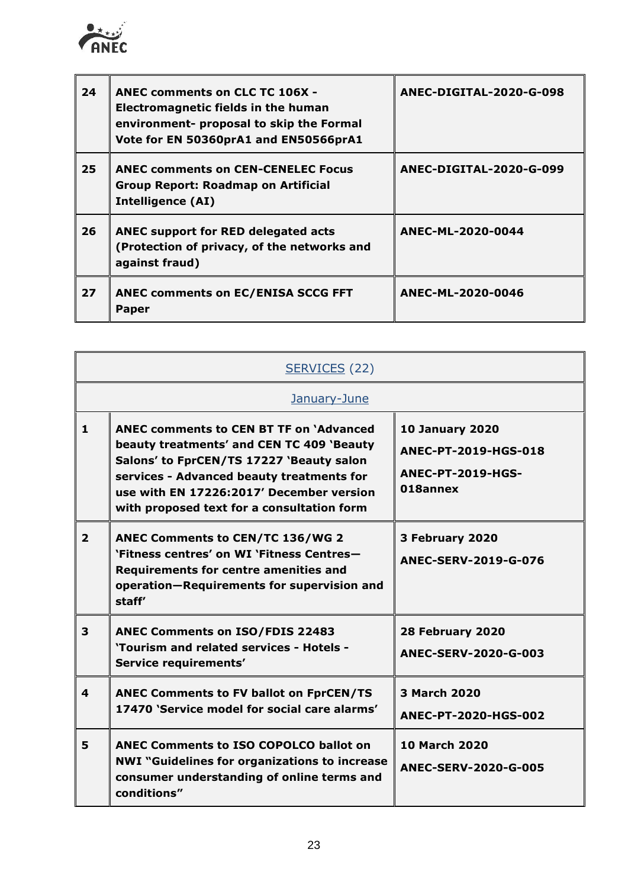

| 24 | <b>ANEC comments on CLC TC 106X -</b><br>Electromagnetic fields in the human<br>environment- proposal to skip the Formal<br>Vote for EN 50360prA1 and EN50566prA1 | ANEC-DIGITAL-2020-G-098 |
|----|-------------------------------------------------------------------------------------------------------------------------------------------------------------------|-------------------------|
| 25 | <b>ANEC comments on CEN-CENELEC Focus</b><br><b>Group Report: Roadmap on Artificial</b><br><b>Intelligence (AI)</b>                                               | ANEC-DIGITAL-2020-G-099 |
| 26 | <b>ANEC support for RED delegated acts</b><br>(Protection of privacy, of the networks and<br>against fraud)                                                       | ANEC-ML-2020-0044       |
| 27 | <b>ANEC comments on EC/ENISA SCCG FFT</b><br>Paper                                                                                                                | ANEC-ML-2020-0046       |

| SERVICES (22)           |                                                                                                                                                                                                                                                                                |                                                                                        |  |
|-------------------------|--------------------------------------------------------------------------------------------------------------------------------------------------------------------------------------------------------------------------------------------------------------------------------|----------------------------------------------------------------------------------------|--|
|                         | January-June                                                                                                                                                                                                                                                                   |                                                                                        |  |
| $\mathbf{1}$            | <b>ANEC comments to CEN BT TF on 'Advanced</b><br>beauty treatments' and CEN TC 409 'Beauty<br>Salons' to FprCEN/TS 17227 'Beauty salon<br>services - Advanced beauty treatments for<br>use with EN 17226:2017' December version<br>with proposed text for a consultation form | <b>10 January 2020</b><br>ANEC-PT-2019-HGS-018<br><b>ANEC-PT-2019-HGS-</b><br>018annex |  |
| $\overline{2}$          | <b>ANEC Comments to CEN/TC 136/WG 2</b><br>'Fitness centres' on WI 'Fitness Centres-<br><b>Requirements for centre amenities and</b><br>operation-Requirements for supervision and<br>staff'                                                                                   | 3 February 2020<br>ANEC-SERV-2019-G-076                                                |  |
| $\overline{\mathbf{3}}$ | <b>ANEC Comments on ISO/FDIS 22483</b><br>'Tourism and related services - Hotels -<br>Service requirements'                                                                                                                                                                    | 28 February 2020<br>ANEC-SERV-2020-G-003                                               |  |
| 4                       | <b>ANEC Comments to FV ballot on FprCEN/TS</b><br>17470 'Service model for social care alarms'                                                                                                                                                                                 | 3 March 2020<br>ANEC-PT-2020-HGS-002                                                   |  |
| 5                       | <b>ANEC Comments to ISO COPOLCO ballot on</b><br><b>NWI "Guidelines for organizations to increase</b><br>consumer understanding of online terms and<br>conditions"                                                                                                             | <b>10 March 2020</b><br><b>ANEC-SERV-2020-G-005</b>                                    |  |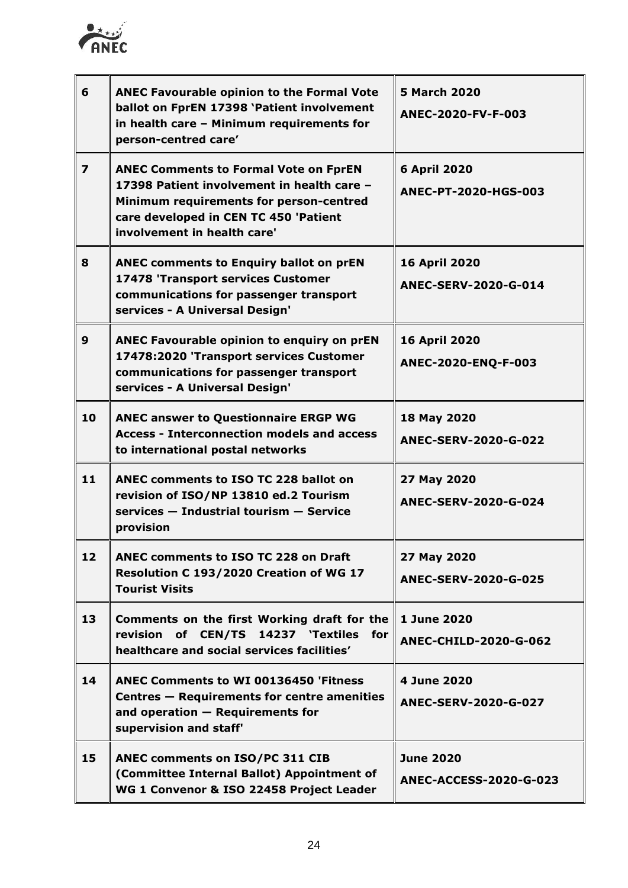

| 6                       | <b>ANEC Favourable opinion to the Formal Vote</b><br>ballot on FprEN 17398 'Patient involvement<br>in health care - Minimum requirements for<br>person-centred care'                                          | <b>5 March 2020</b><br>ANEC-2020-FV-F-003         |
|-------------------------|---------------------------------------------------------------------------------------------------------------------------------------------------------------------------------------------------------------|---------------------------------------------------|
| $\overline{\mathbf{z}}$ | <b>ANEC Comments to Formal Vote on FprEN</b><br>17398 Patient involvement in health care -<br>Minimum requirements for person-centred<br>care developed in CEN TC 450 'Patient<br>involvement in health care' | <b>6 April 2020</b><br>ANEC-PT-2020-HGS-003       |
| 8                       | <b>ANEC comments to Enquiry ballot on prEN</b><br>17478 'Transport services Customer<br>communications for passenger transport<br>services - A Universal Design'                                              | <b>16 April 2020</b><br>ANEC-SERV-2020-G-014      |
| 9                       | ANEC Favourable opinion to enquiry on prEN<br>17478:2020 'Transport services Customer<br>communications for passenger transport<br>services - A Universal Design'                                             | <b>16 April 2020</b><br>ANEC-2020-ENQ-F-003       |
| 10                      | <b>ANEC answer to Questionnaire ERGP WG</b><br><b>Access - Interconnection models and access</b><br>to international postal networks                                                                          | 18 May 2020<br><b>ANEC-SERV-2020-G-022</b>        |
| 11                      | <b>ANEC comments to ISO TC 228 ballot on</b><br>revision of ISO/NP 13810 ed.2 Tourism<br>services - Industrial tourism - Service<br>provision                                                                 | 27 May 2020<br><b>ANEC-SERV-2020-G-024</b>        |
| 12                      | <b>ANEC comments to ISO TC 228 on Draft</b><br>Resolution C 193/2020 Creation of WG 17<br><b>Tourist Visits</b>                                                                                               | 27 May 2020<br><b>ANEC-SERV-2020-G-025</b>        |
| 13                      | Comments on the first Working draft for the<br>revision of CEN/TS 14237 'Textiles for<br>healthcare and social services facilities'                                                                           | 1 June 2020<br><b>ANEC-CHILD-2020-G-062</b>       |
| 14                      | <b>ANEC Comments to WI 00136450 'Fitness</b><br>Centres - Requirements for centre amenities<br>and operation $-$ Requirements for<br>supervision and staff'                                                   | 4 June 2020<br>ANEC-SERV-2020-G-027               |
| 15                      | ANEC comments on ISO/PC 311 CIB<br>(Committee Internal Ballot) Appointment of<br>WG 1 Convenor & ISO 22458 Project Leader                                                                                     | <b>June 2020</b><br><b>ANEC-ACCESS-2020-G-023</b> |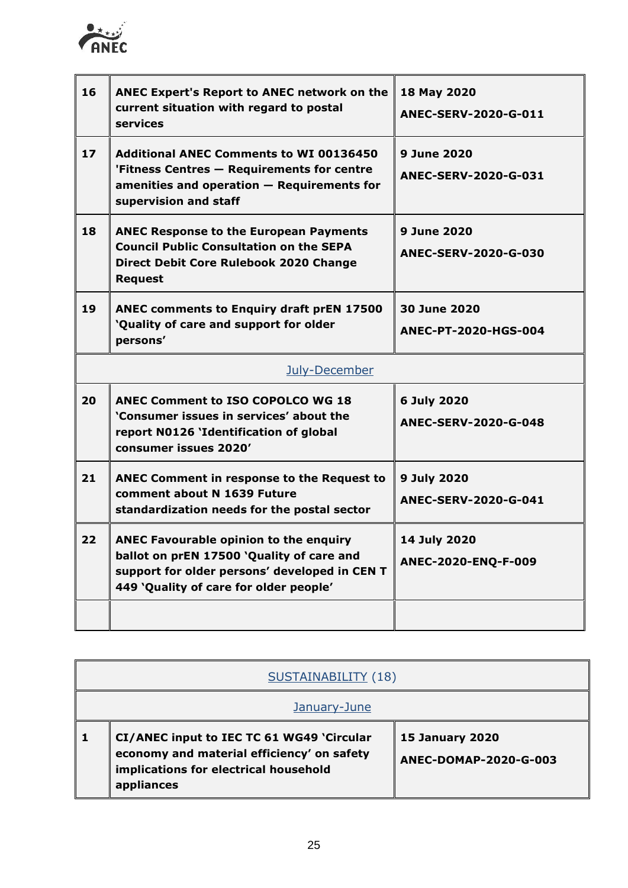

| 16 | <b>ANEC Expert's Report to ANEC network on the</b><br>current situation with regard to postal<br>services                                                                             | 18 May 2020<br>ANEC-SERV-2020-G-011               |
|----|---------------------------------------------------------------------------------------------------------------------------------------------------------------------------------------|---------------------------------------------------|
| 17 | <b>Additional ANEC Comments to WI 00136450</b><br>'Fitness Centres - Requirements for centre<br>$a$ menities and operation $-$ Requirements for<br>supervision and staff              | 9 June 2020<br><b>ANEC-SERV-2020-G-031</b>        |
| 18 | <b>ANEC Response to the European Payments</b><br><b>Council Public Consultation on the SEPA</b><br>Direct Debit Core Rulebook 2020 Change<br><b>Request</b>                           | <b>9 June 2020</b><br><b>ANEC-SERV-2020-G-030</b> |
| 19 | <b>ANEC comments to Enquiry draft prEN 17500</b><br>'Quality of care and support for older<br>persons'                                                                                | 30 June 2020<br>ANEC-PT-2020-HGS-004              |
|    | July-December                                                                                                                                                                         |                                                   |
| 20 | <b>ANEC Comment to ISO COPOLCO WG 18</b><br>'Consumer issues in services' about the<br>report N0126 'Identification of global<br>consumer issues 2020'                                | 6 July 2020<br><b>ANEC-SERV-2020-G-048</b>        |
| 21 | <b>ANEC Comment in response to the Request to</b><br>comment about N 1639 Future<br>standardization needs for the postal sector                                                       | 9 July 2020<br><b>ANEC-SERV-2020-G-041</b>        |
| 22 | <b>ANEC Favourable opinion to the enquiry</b><br>ballot on prEN 17500 'Quality of care and<br>support for older persons' developed in CEN T<br>449 'Quality of care for older people' | 14 July 2020<br>ANEC-2020-ENQ-F-009               |
|    |                                                                                                                                                                                       |                                                   |

| <b>SUSTAINABILITY (18)</b>                                                                                                                     |                                                 |
|------------------------------------------------------------------------------------------------------------------------------------------------|-------------------------------------------------|
| January-June                                                                                                                                   |                                                 |
| CI/ANEC input to IEC TC 61 WG49 'Circular<br>economy and material efficiency' on safety<br>implications for electrical household<br>appliances | <b>15 January 2020</b><br>ANEC-DOMAP-2020-G-003 |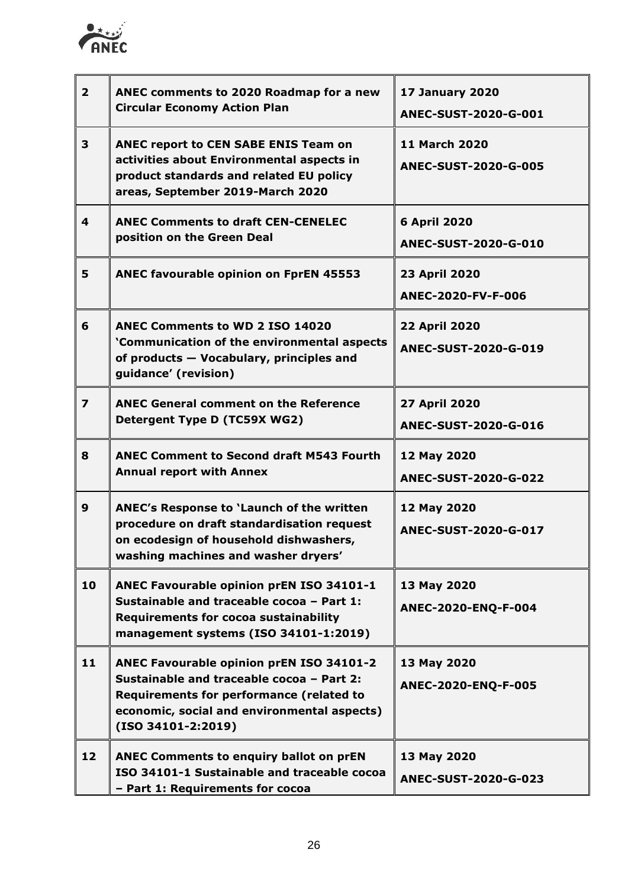

| 2 <sup>1</sup>          | ANEC comments to 2020 Roadmap for a new<br><b>Circular Economy Action Plan</b>                                                                                                                           | <b>17 January 2020</b><br>ANEC-SUST-2020-G-001      |
|-------------------------|----------------------------------------------------------------------------------------------------------------------------------------------------------------------------------------------------------|-----------------------------------------------------|
| 3                       | ANEC report to CEN SABE ENIS Team on<br>activities about Environmental aspects in<br>product standards and related EU policy<br>areas, September 2019-March 2020                                         | <b>11 March 2020</b><br><b>ANEC-SUST-2020-G-005</b> |
| 4                       | <b>ANEC Comments to draft CEN-CENELEC</b><br>position on the Green Deal                                                                                                                                  | <b>6 April 2020</b><br><b>ANEC-SUST-2020-G-010</b>  |
| 5                       | ANEC favourable opinion on FprEN 45553                                                                                                                                                                   | 23 April 2020<br>ANEC-2020-FV-F-006                 |
| 6                       | <b>ANEC Comments to WD 2 ISO 14020</b><br>'Communication of the environmental aspects<br>of products - Vocabulary, principles and<br>guidance' (revision)                                                | 22 April 2020<br><b>ANEC-SUST-2020-G-019</b>        |
| $\overline{\mathbf{z}}$ | <b>ANEC General comment on the Reference</b><br>Detergent Type D (TC59X WG2)                                                                                                                             | 27 April 2020<br><b>ANEC-SUST-2020-G-016</b>        |
| 8                       | <b>ANEC Comment to Second draft M543 Fourth</b><br><b>Annual report with Annex</b>                                                                                                                       | 12 May 2020<br><b>ANEC-SUST-2020-G-022</b>          |
| 9                       | ANEC's Response to 'Launch of the written<br>procedure on draft standardisation request<br>on ecodesian of household dishwashers.<br>washing machines and washer dryers'                                 | 12 May 2020<br>ANEC-SUST-2020-G-017                 |
| 10                      | ANEC Favourable opinion prEN ISO 34101-1<br>Sustainable and traceable cocoa - Part 1:<br><b>Requirements for cocoa sustainability</b><br>management systems (ISO 34101-1:2019)                           | 13 May 2020<br>ANEC-2020-ENQ-F-004                  |
| 11                      | ANEC Favourable opinion prEN ISO 34101-2<br>Sustainable and traceable cocoa - Part 2:<br>Requirements for performance (related to<br>economic, social and environmental aspects)<br>$(ISO 34101-2:2019)$ | 13 May 2020<br>ANEC-2020-ENQ-F-005                  |
| 12                      | <b>ANEC Comments to enquiry ballot on prEN</b><br>ISO 34101-1 Sustainable and traceable cocoa<br>- Part 1: Requirements for cocoa                                                                        | 13 May 2020<br><b>ANEC-SUST-2020-G-023</b>          |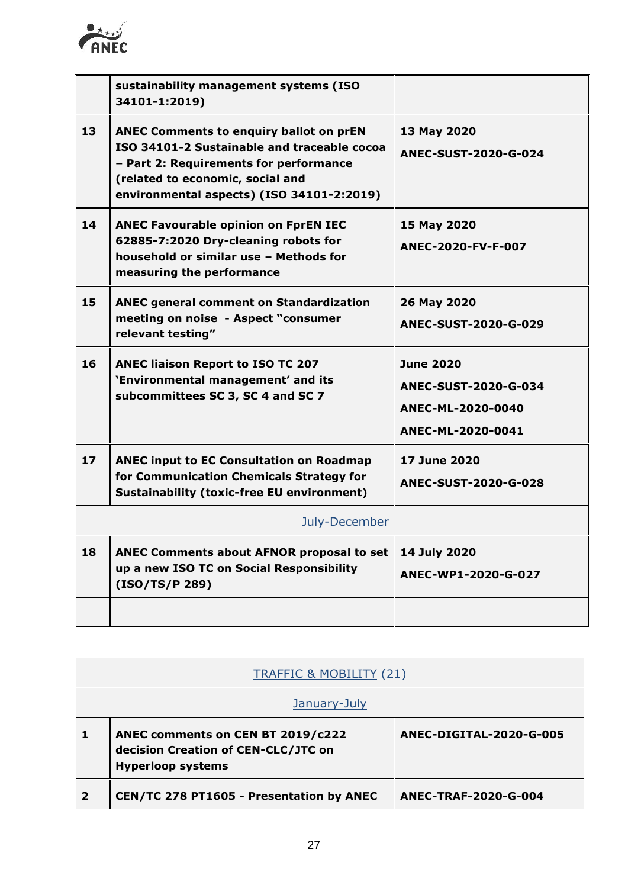

|    | sustainability management systems (ISO<br>34101-1:2019)                                                                                                                                                                  |                                                                                    |
|----|--------------------------------------------------------------------------------------------------------------------------------------------------------------------------------------------------------------------------|------------------------------------------------------------------------------------|
| 13 | <b>ANEC Comments to enquiry ballot on prEN</b><br>ISO 34101-2 Sustainable and traceable cocoa<br>- Part 2: Requirements for performance<br>(related to economic, social and<br>environmental aspects) (ISO 34101-2:2019) | 13 May 2020<br>ANEC-SUST-2020-G-024                                                |
| 14 | <b>ANEC Favourable opinion on FprEN IEC</b><br>62885-7:2020 Dry-cleaning robots for<br>household or similar use - Methods for<br>measuring the performance                                                               | 15 May 2020<br>ANEC-2020-FV-F-007                                                  |
| 15 | <b>ANEC general comment on Standardization</b><br>meeting on noise - Aspect "consumer<br>relevant testing"                                                                                                               | 26 May 2020<br><b>ANEC-SUST-2020-G-029</b>                                         |
| 16 | <b>ANEC liaison Report to ISO TC 207</b><br>'Environmental management' and its<br>subcommittees SC 3, SC 4 and SC 7                                                                                                      | <b>June 2020</b><br>ANEC-SUST-2020-G-034<br>ANEC-ML-2020-0040<br>ANEC-ML-2020-0041 |
| 17 | <b>ANEC input to EC Consultation on Roadmap</b><br>for Communication Chemicals Strategy for<br><b>Sustainability (toxic-free EU environment)</b>                                                                         | 17 June 2020<br><b>ANEC-SUST-2020-G-028</b>                                        |
|    | July-December                                                                                                                                                                                                            |                                                                                    |
| 18 | <b>ANEC Comments about AFNOR proposal to set</b><br>up a new ISO TC on Social Responsibility<br>(ISO/TS/P 289)                                                                                                           | 14 July 2020<br>ANEC-WP1-2020-G-027                                                |
|    |                                                                                                                                                                                                                          |                                                                                    |

| <b>TRAFFIC &amp; MOBILITY (21)</b> |                                                                                                      |                             |
|------------------------------------|------------------------------------------------------------------------------------------------------|-----------------------------|
| January-July                       |                                                                                                      |                             |
|                                    | ANEC comments on CEN BT 2019/c222<br>decision Creation of CEN-CLC/JTC on<br><b>Hyperloop systems</b> | ANEC-DIGITAL-2020-G-005     |
| $\overline{\mathbf{2}}$            | CEN/TC 278 PT1605 - Presentation by ANEC                                                             | <b>ANEC-TRAF-2020-G-004</b> |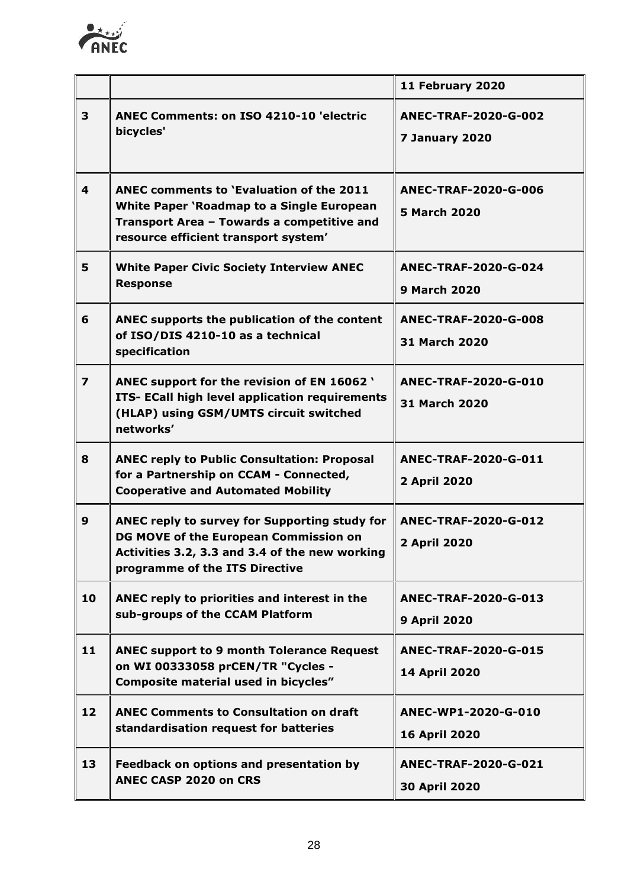

|                         |                                                                                                                                                                                    | 11 February 2020                              |
|-------------------------|------------------------------------------------------------------------------------------------------------------------------------------------------------------------------------|-----------------------------------------------|
| 3                       | <b>ANEC Comments: on ISO 4210-10 'electric</b><br>bicycles'                                                                                                                        | <b>ANEC-TRAF-2020-G-002</b><br>7 January 2020 |
| $\overline{\mathbf{4}}$ | ANEC comments to 'Evaluation of the 2011<br><b>White Paper 'Roadmap to a Single European</b><br>Transport Area - Towards a competitive and<br>resource efficient transport system' | ANEC-TRAF-2020-G-006<br><b>5 March 2020</b>   |
| 5                       | <b>White Paper Civic Society Interview ANEC</b><br><b>Response</b>                                                                                                                 | ANEC-TRAF-2020-G-024<br><b>9 March 2020</b>   |
| 6                       | ANEC supports the publication of the content<br>of ISO/DIS 4210-10 as a technical<br>specification                                                                                 | <b>ANEC-TRAF-2020-G-008</b><br>31 March 2020  |
| $\overline{\mathbf{z}}$ | ANEC support for the revision of EN 16062 '<br>ITS- ECall high level application requirements<br>(HLAP) using GSM/UMTS circuit switched<br>networks'                               | ANEC-TRAF-2020-G-010<br><b>31 March 2020</b>  |
| 8                       | <b>ANEC reply to Public Consultation: Proposal</b><br>for a Partnership on CCAM - Connected,<br><b>Cooperative and Automated Mobility</b>                                          | <b>ANEC-TRAF-2020-G-011</b><br>2 April 2020   |
| 9                       | ANEC reply to survey for Supporting study for<br>DG MOVE of the European Commission on<br>Activities 3.2, 3.3 and 3.4 of the new working<br>programme of the ITS Directive         | <b>ANEC-TRAF-2020-G-012</b><br>2 April 2020   |
| 10                      | ANEC reply to priorities and interest in the<br>sub-groups of the CCAM Platform                                                                                                    | ANEC-TRAF-2020-G-013<br><b>9 April 2020</b>   |
| 11                      | <b>ANEC support to 9 month Tolerance Request</b><br>on WI 00333058 prCEN/TR "Cycles -<br>Composite material used in bicycles"                                                      | ANEC-TRAF-2020-G-015<br>14 April 2020         |
| 12                      | <b>ANEC Comments to Consultation on draft</b><br>standardisation request for batteries                                                                                             | ANEC-WP1-2020-G-010<br><b>16 April 2020</b>   |
| 13                      | Feedback on options and presentation by<br><b>ANEC CASP 2020 on CRS</b>                                                                                                            | <b>ANEC-TRAF-2020-G-021</b><br>30 April 2020  |